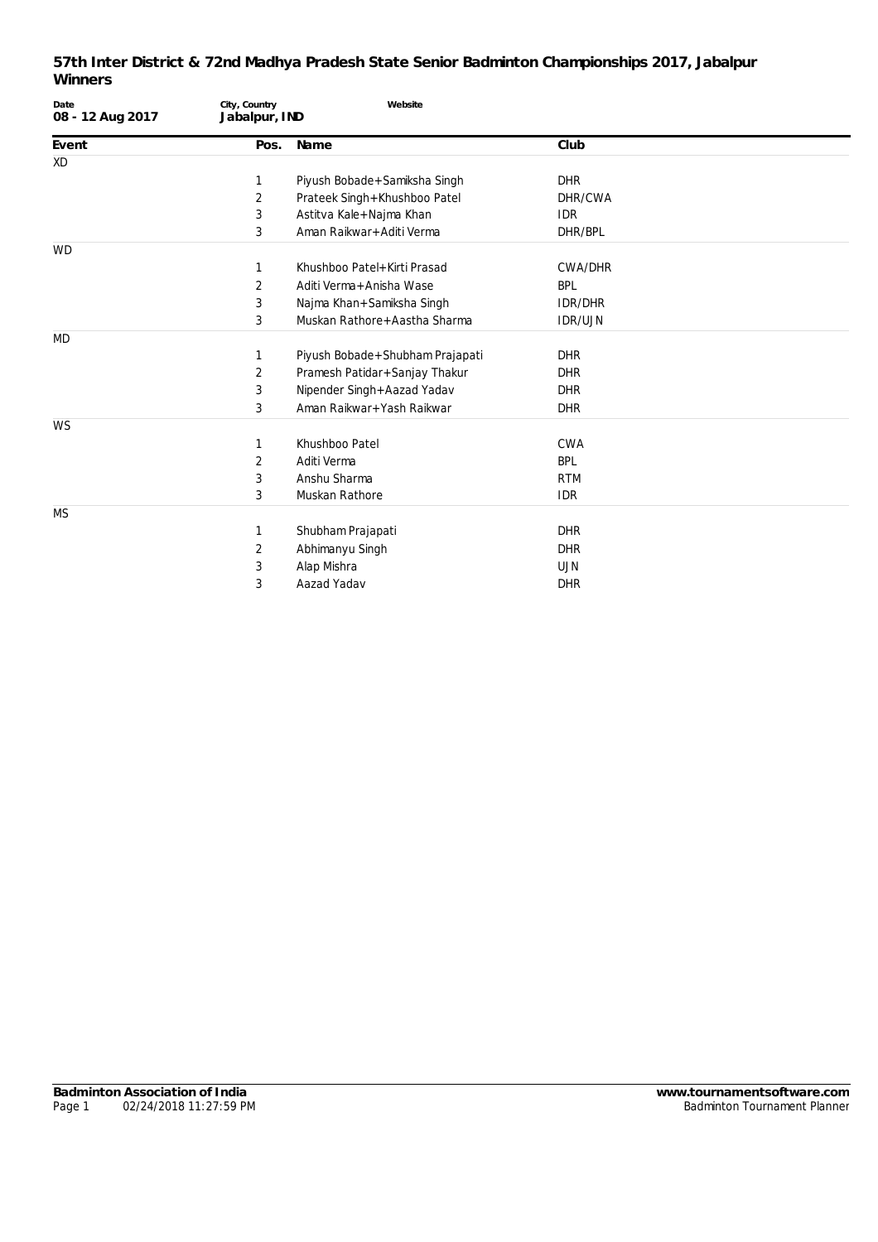| Date<br>08 - 12 Aug 2017 | City, Country<br>Jabalpur, IND | Website                           |                |  |
|--------------------------|--------------------------------|-----------------------------------|----------------|--|
| Event                    | Pos.                           | Name                              | Club           |  |
| <b>XD</b>                |                                |                                   |                |  |
|                          | 1                              | Piyush Bobade+Samiksha Singh      | <b>DHR</b>     |  |
|                          | 2                              | Prateek Singh+Khushboo Patel      | DHR/CWA        |  |
|                          | 3                              | Astitva Kale+Najma Khan           | <b>IDR</b>     |  |
|                          | 3                              | Aman Raikwar+Aditi Verma          | DHR/BPL        |  |
| <b>WD</b>                |                                |                                   |                |  |
|                          |                                | Khushboo Patel+Kirti Prasad       | <b>CWA/DHR</b> |  |
|                          | 2                              | Aditi Verma + Anisha Wase         | <b>BPL</b>     |  |
|                          | 3                              | Najma Khan+Samiksha Singh         | <b>IDR/DHR</b> |  |
|                          | 3                              | Muskan Rathore+Aastha Sharma      | <b>IDR/UJN</b> |  |
| <b>MD</b>                |                                |                                   |                |  |
|                          | 1                              | Piyush Bobade + Shubham Prajapati | <b>DHR</b>     |  |
|                          | 2                              | Pramesh Patidar+Sanjay Thakur     | <b>DHR</b>     |  |
|                          | 3                              | Nipender Singh+Aazad Yadav        | <b>DHR</b>     |  |
|                          | 3                              | Aman Raikwar+Yash Raikwar         | <b>DHR</b>     |  |
| WS                       |                                |                                   |                |  |
|                          | 1                              | Khushboo Patel                    | <b>CWA</b>     |  |
|                          | 2                              | Aditi Verma                       | <b>BPL</b>     |  |
|                          | 3                              | Anshu Sharma                      | <b>RTM</b>     |  |
|                          | 3                              | Muskan Rathore                    | <b>IDR</b>     |  |
| <b>MS</b>                |                                |                                   |                |  |
|                          | 1                              | Shubham Prajapati                 | <b>DHR</b>     |  |
|                          | 2                              | Abhimanyu Singh                   | <b>DHR</b>     |  |
|                          | 3                              | Alap Mishra                       | <b>UJN</b>     |  |
|                          | 3                              | Aazad Yadav                       | <b>DHR</b>     |  |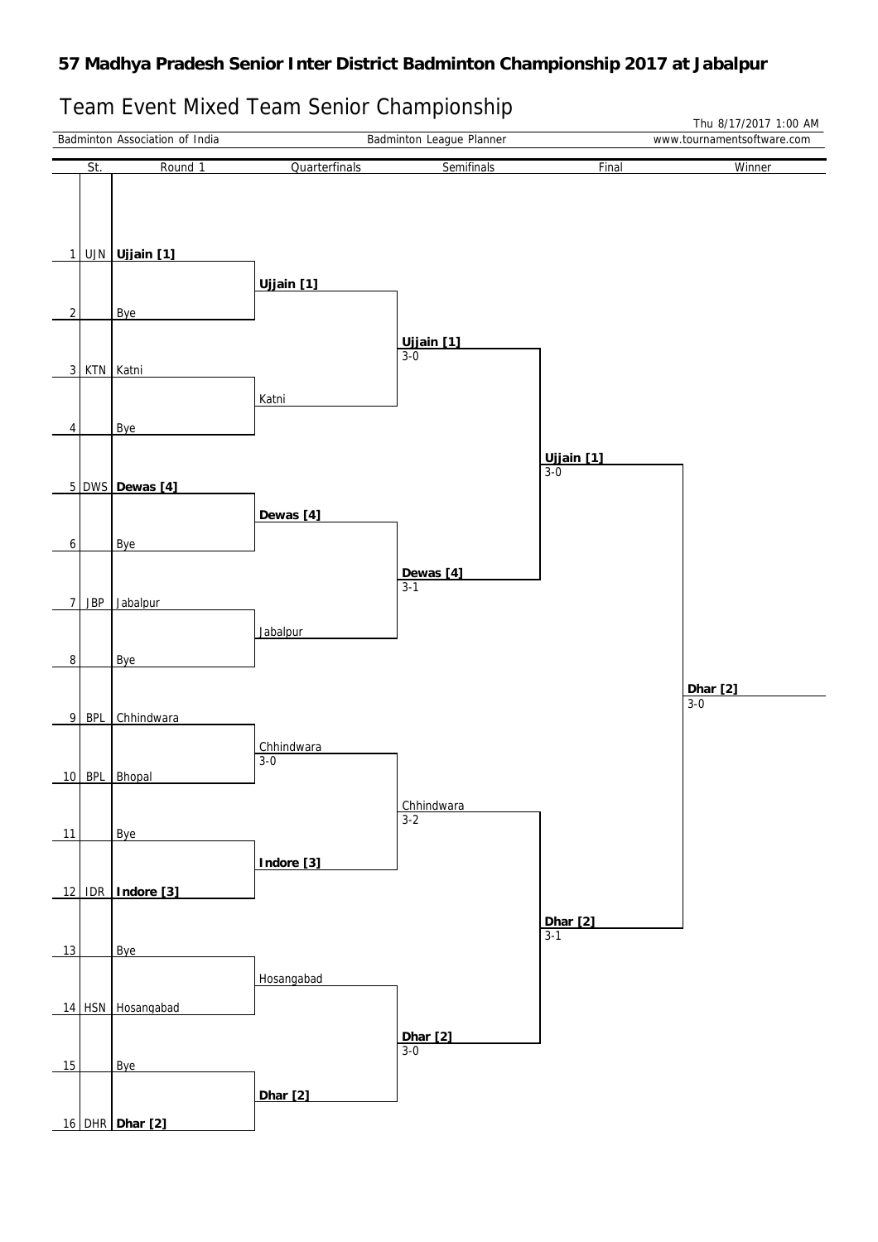# Team Event Mixed Team Senior Championship

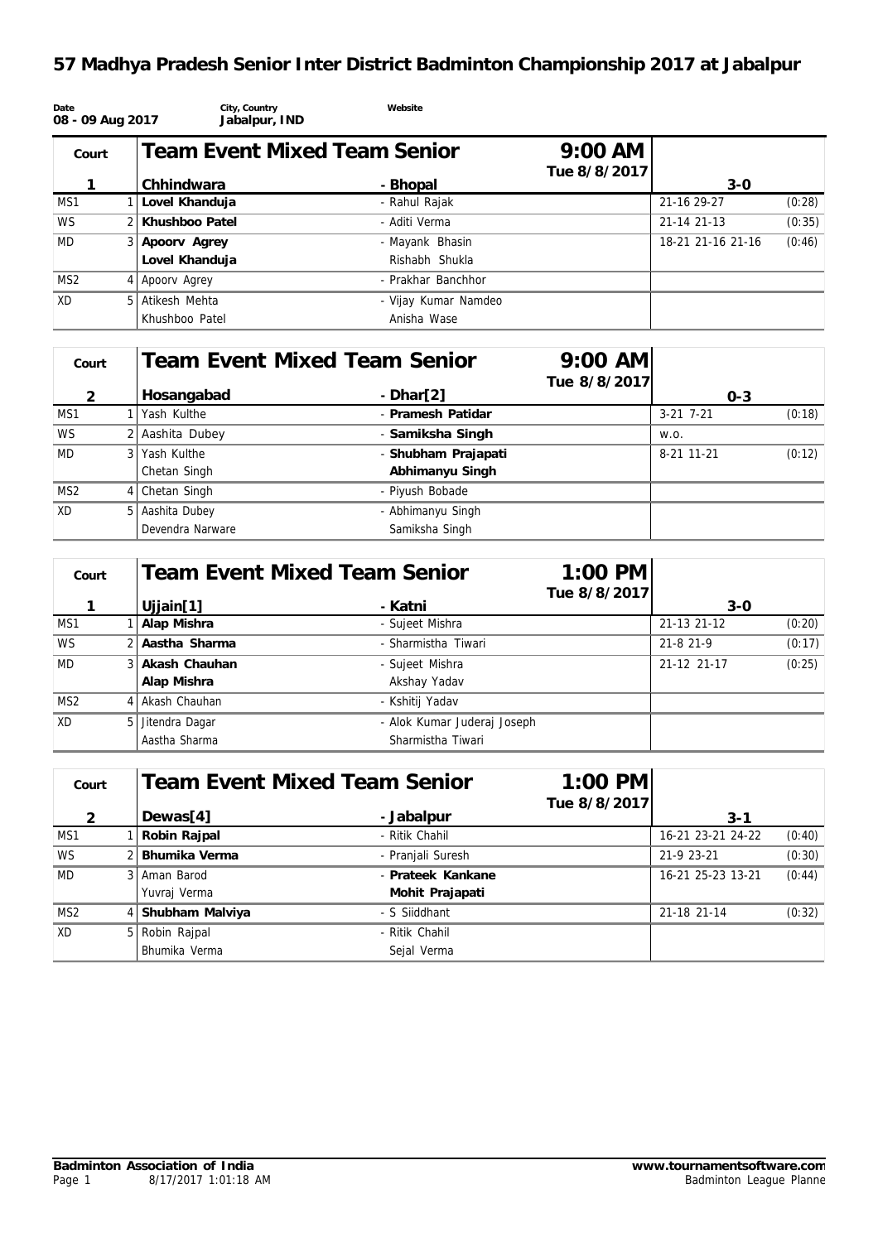# **57 Madhya Pradesh Senior Inter District Badminton Championship 2017 at Jabalpur**

| Date<br>08 - 09 Aug 2017 |                  | City, Country<br>Jabalpur, IND      | Website              |                                   |                   |        |
|--------------------------|------------------|-------------------------------------|----------------------|-----------------------------------|-------------------|--------|
| Court                    |                  | <b>Team Event Mixed Team Senior</b> |                      | $9:00 \text{ AM}$<br>Tue 8/8/2017 |                   |        |
|                          | Chhindwara       |                                     | - Bhopal             |                                   | $3 - 0$           |        |
| MS1                      | Lovel Khanduja   |                                     | - Rahul Rajak        |                                   | 21-16 29-27       | (0:28) |
| <b>WS</b>                | 2 Khushboo Patel |                                     | - Aditi Verma        |                                   | 21-14 21-13       | (0:35) |
| MD                       | 3 Apoory Agrey   |                                     | - Mayank Bhasin      |                                   | 18-21 21-16 21-16 | (0:46) |
|                          | Lovel Khanduja   |                                     | Rishabh Shukla       |                                   |                   |        |
| MS <sub>2</sub>          | 4 Apoory Agrey   |                                     | - Prakhar Banchhor   |                                   |                   |        |
| XD                       | 5 Atikesh Mehta  |                                     | - Vijay Kumar Namdeo |                                   |                   |        |
|                          | Khushboo Patel   |                                     | Anisha Wase          |                                   |                   |        |

| Court           |  |                          | Team Event Mixed Team Senior | $9:00$ AM    |             |        |
|-----------------|--|--------------------------|------------------------------|--------------|-------------|--------|
| $\mathcal{P}$   |  | Hosangabad<br>$-Dhar[2]$ |                              | Tue 8/8/2017 | $O - 3$     |        |
| MS1             |  | Yash Kulthe              | - Pramesh Patidar            |              | $3-21$ 7-21 | (0:18) |
| <b>WS</b>       |  | 2 Aashita Dubey          | - Samiksha Singh             |              | W.O.        |        |
| MD              |  | 3 Yash Kulthe            | - Shubham Prajapati          |              | 8-21 11-21  | (0:12) |
|                 |  | Chetan Singh             | Abhimanyu Singh              |              |             |        |
| MS <sub>2</sub> |  | 4 Chetan Singh           | - Piyush Bobade              |              |             |        |
| XD              |  | 5 Aashita Dubey          | - Abhimanyu Singh            |              |             |        |
|                 |  | Devendra Narware         | Samiksha Singh               |              |             |        |

| Court           |               |                                                 | <b>Team Event Mixed Team Senior</b> | $1:00 \, \text{PM}$ |             |        |
|-----------------|---------------|-------------------------------------------------|-------------------------------------|---------------------|-------------|--------|
|                 |               | Uijain[1]                                       | - Katni                             | Tue 8/8/2017        | $3-0$       |        |
| MS1             |               | Alap Mishra                                     | - Sujeet Mishra                     |                     | 21-13 21-12 | (0:20) |
| <b>WS</b>       |               | 2 Aastha Sharma                                 | - Sharmistha Tiwari                 |                     | 21-8 21-9   | (0:17) |
| <b>MD</b>       |               | 3 Akash Chauhan                                 | - Sujeet Mishra                     |                     | 21-12 21-17 | (0:25) |
|                 |               | Alap Mishra                                     | Akshay Yadav                        |                     |             |        |
| MS <sub>2</sub> |               | 4 Akash Chauhan                                 | - Kshitij Yadav                     |                     |             |        |
| XD              |               | 5 Jitendra Dagar<br>- Alok Kumar Juderaj Joseph |                                     |                     |             |        |
|                 | Aastha Sharma |                                                 | Sharmistha Tiwari                   |                     |             |        |

| Court           |  |                                  | <b>Team Event Mixed Team Senior</b> | $1:00$ PM    |                   |        |
|-----------------|--|----------------------------------|-------------------------------------|--------------|-------------------|--------|
|                 |  |                                  |                                     | Tue 8/8/2017 |                   |        |
| $\mathcal{P}$   |  | Dewas[4]                         | - Jabalpur                          |              | $3 - 1$           |        |
| MS1             |  | Robin Rajpal                     | - Ritik Chahil                      |              | 16-21 23-21 24-22 | (0:40) |
| <b>WS</b>       |  | Bhumika Verma                    | - Pranjali Suresh                   |              | 21-9 23-21        | (0:30) |
| <b>MD</b>       |  | 3 Aman Barod                     | - Prateek Kankane                   |              | 16-21 25-23 13-21 | (0:44) |
|                 |  | Yuvraj Verma                     | Mohit Prajapati                     |              |                   |        |
| MS <sub>2</sub> |  | 4 Shubham Malviya                | - S Siiddhant                       |              | 21-18 21-14       | (0:32) |
| XD              |  | 5 Robin Rajpal<br>- Ritik Chahil |                                     |              |                   |        |
|                 |  | Bhumika Verma                    | Sejal Verma                         |              |                   |        |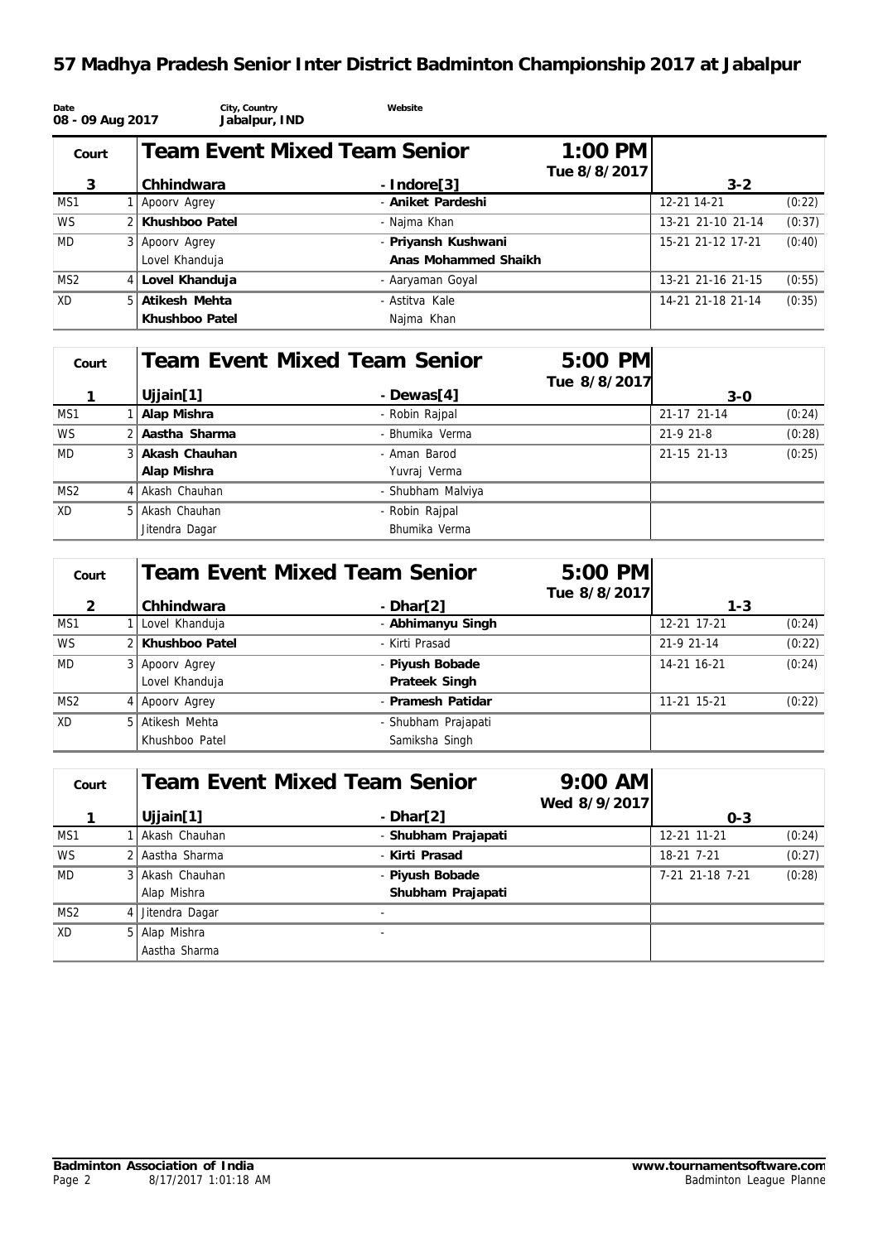# **57 Madhya Pradesh Senior Inter District Badminton Championship 2017 at Jabalpur**

| Date<br>08 - 09 Aug 2017 | City, Country<br>Jabalpur, IND      | Website              |                           |                   |        |
|--------------------------|-------------------------------------|----------------------|---------------------------|-------------------|--------|
| Court                    | <b>Team Event Mixed Team Senior</b> |                      | $1:00$ PM<br>Tue 8/8/2017 |                   |        |
| 3                        | Chhindwara                          | $-$ Indore[3]        |                           | $3 - 2$           |        |
| MS1                      | Apoory Agrey                        | - Aniket Pardeshi    |                           | 12-21 14-21       | (0:22) |
| <b>WS</b>                | 2 Khushboo Patel                    | - Najma Khan         |                           | 13-21 21-10 21-14 | (0:37) |
| <b>MD</b>                | 3 Apoorv Agrey                      | - Priyansh Kushwani  |                           | 15-21 21-12 17-21 | (0:40) |
|                          | Lovel Khanduja                      | Anas Mohammed Shaikh |                           |                   |        |
| MS <sub>2</sub>          | 4 Lovel Khanduja                    | - Aaryaman Goyal     |                           | 13-21 21-16 21-15 | (0:55) |
| <b>XD</b>                | 5 Atikesh Mehta                     | - Astitva Kale       |                           | 14-21 21-18 21-14 | (0:35) |
|                          | Khushboo Patel                      | Najma Khan           |                           |                   |        |

| Court           |                 | Team Event Mixed Team Senior | 5:00 PM      |             |        |
|-----------------|-----------------|------------------------------|--------------|-------------|--------|
|                 |                 |                              | Tue 8/8/2017 |             |        |
|                 | Ujjain[1]       | - Dewas[4]                   |              | $3-0$       |        |
| MS1             | Alap Mishra     | - Robin Raipal               |              | 21-17 21-14 | (0:24) |
| <b>WS</b>       | 2 Aastha Sharma | - Bhumika Verma              |              | 21-9 21-8   | (0:28) |
| MD              | 3 Akash Chauhan | - Aman Barod                 |              | 21-15 21-13 | (0:25) |
|                 | Alap Mishra     | Yuvraj Verma                 |              |             |        |
| MS <sub>2</sub> | 4 Akash Chauhan | - Shubham Malviya            |              |             |        |
| <b>XD</b>       | 5 Akash Chauhan | - Robin Rajpal               |              |             |        |
|                 | Jitendra Dagar  | Bhumika Verma                |              |             |        |

| Court           |                  | Team Event Mixed Team Senior | 5:00 PM      |             |        |
|-----------------|------------------|------------------------------|--------------|-------------|--------|
| $\mathcal{D}$   | Chhindwara       | $-Dhar[2]$                   | Tue 8/8/2017 | $1 - 3$     |        |
| MS1             | Lovel Khanduja   | - Abhimanyu Singh            |              | 12-21 17-21 | (0:24) |
| <b>WS</b>       | 2 Khushboo Patel | - Kirti Prasad               |              | 21-9 21-14  | (0:22) |
| <b>MD</b>       | 3 Apoorv Agrey   | - Piyush Bobade              |              | 14-21 16-21 | (0:24) |
|                 | Lovel Khanduja   | Prateek Singh                |              |             |        |
| MS <sub>2</sub> | 4 Apoory Agrey   | - Pramesh Patidar            |              | 11-21 15-21 | (0:22) |
| XD              | 5 Atikesh Mehta  | - Shubham Prajapati          |              |             |        |
|                 | Khushboo Patel   | Samiksha Singh               |              |             |        |

| Court           |  | Team Event Mixed Team Senior |                     | $9:00$ AM    |                 |        |
|-----------------|--|------------------------------|---------------------|--------------|-----------------|--------|
|                 |  | Ujjain[1]                    | $-Dhar[2]$          | Wed 8/9/2017 | $O - 3$         |        |
| MS1             |  | Akash Chauhan                | - Shubham Prajapati |              | 12-21 11-21     | (0:24) |
| <b>WS</b>       |  | 2 Aastha Sharma              | - Kirti Prasad      |              | 18-21 7-21      | (0:27) |
| <b>MD</b>       |  | 3 Akash Chauhan              | - Piyush Bobade     |              | 7-21 21-18 7-21 | (0:28) |
|                 |  | Alap Mishra                  | Shubham Prajapati   |              |                 |        |
| MS <sub>2</sub> |  | 4 Jitendra Dagar             |                     |              |                 |        |
| XD              |  | 5 Alap Mishra                |                     |              |                 |        |
|                 |  | Aastha Sharma                |                     |              |                 |        |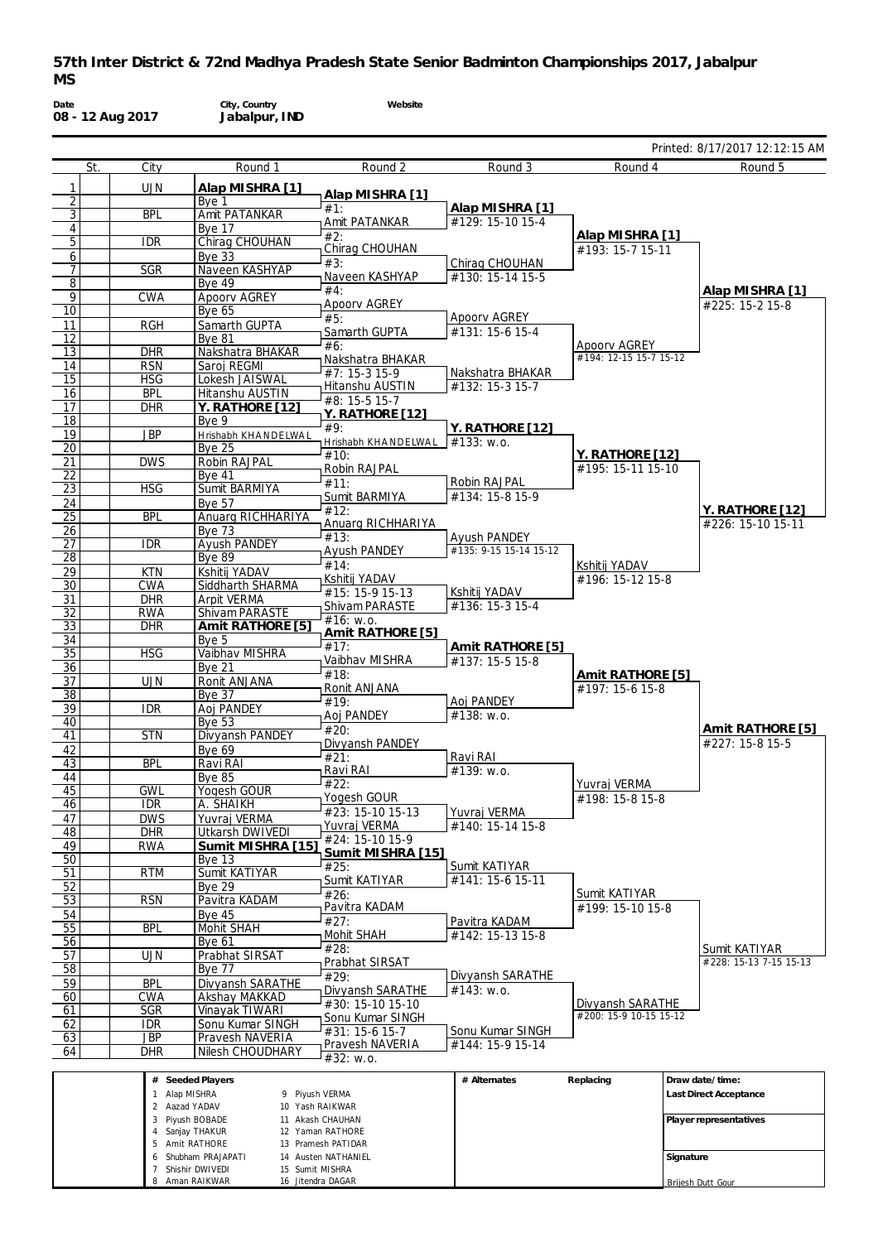**Date 08 - 12 Aug 2017 City, Country Jabalpur, IND Website** Printed: 8/17/2017 12:12:15 AM St. City Round 1 1 UJN Alap MISHRA [1]<br>
<u>2 Bye 1</u><br>
3 BPL Amit PATANKAR Bye<br>BPL Amit 3 BPL Amit PATANKAR<br>4 Bye 17 4 Bye 17<br>5 IDR Chirag Chirag CHOUHAN 6 Bye 33 7 SGR Naveen KASHYAP<br>8 Bye 49 8 Bye 49<br>9 CWA Apoorv 9 CWA Apoorv AGREY<br>10 Bye 65 **Bye 65** 11 RGH Samarth GUPTA<br>12 Bye 81 12 Bye 81<br>13 DHR Naksha Nakshatra BHAKAR 14 RSN Saroj REGMI<br>15 HSG Lokesh JAISV 15 HSG Lokesh JAISWAL<br>16 BPL Hitanshu AUSTIN **BPL** Hitanshu AUSTIN<br>DHR Y. RATHORE [1 17 DHR **Y. RATHORE [12]** 18 Bye 9<br>19 JBP Hrishal 19 JBP Hrishabh KHA NDELWAL<br>20 Bye 25 20 Bye 25<br>
21 DWS Robin F 21 DWS Robin RAJPAL<br>22 Bye 41 22 Bye 41<br>23 HSG Sumit B 23 HSG Sumit BARMIYA<br>
24 Bye 57<br>
25 BPL Anuarg RICHH Bye 57 25 BPL Anuarg RICHHARIYA<br>
26 Bye 73<br>
27 IDR Ayush PANDEY Bye 73 27 IDR Ayush PANDEY<br>28 Bye 89 28 Bye 89<br>29 KTN Kshitij 29 KTN Kshitij YADAV<br>30 CWA Siddharth SH CWA Siddharth SHARMA 31 DHR Arpit VERMA<br>
32 RWA Shivam PAR/<br>
33 DHR Amit RATH **RWA Shivam PARASTE**<br>DHR Amit RATHORI  $Amit$  **RATHORE** [5] 34 Bye 5<br>35 HSG Vaibha 35 HSG Vaibhav MISHRA<br>36 Bye 21 Bye 21<br>
UJN Ronit A 37 UJN Ronit ANJANA<br>38 Bye 37 38 Bye 37<br>39 IDR Aoi PA  $\begin{array}{|c|c|c|c|}\n\hline\n 39 & \text{IDR} & \text{Aoj PANDFY} \\
\hline\n 40 & \text{Bve 53}\n\end{array}$ 40 Bye 53<br>41 STN Divyan 41 STN Divyansh PANDEY<br>42 Bye 69 Bye 69<br>BPL Ravi R 43 BPL Ravi RAI 44 Bye 85<br>45 GWL Yogesh 45 GWL Yogesh GOUR<br>46 IDR A. SHAIKH A. SHAIKH 47 DWS Yuvraj VERMA<br>48 DHR Utkarsh DWIV 48 DHR Utkarsh DWIVEDI<br>49 RWA Sumit MISHRA 49 RWA **Sumit MISHRA [15]** 50 Bye 13<br>51 RTM Sumit K 51 RTM Sumit KATIYAR<br>52 Bye 29 52 Bye 29<br>53 RSN Pavitra 53 RSN Pavitra KADAM<br>54 Bye 45 54 Bye 45<br>55 BPL Mohit S 55 BPL Mohit SHAH<br>56 Bye 61 **Bye 61** 57 UJN Prabhat SIRSAT<br>58 Bye 77 58 Bye 77<br>59 BPI Divyan 59 BPL Divyansh SARATHE<br>60 CWA Akshay MAKKAD 60 CWA Akshay MAKKAD<br>61 SGR Vinavak TIWARI **SGR Vinayak TIWARI**<br>IDR Sonu Kumar SIN 62 IDR Sonu Kumar SINGH<br>63 JBP Pravesh NAVERIA **Pravesh NAVERIA** 64 DHR Nilesh CHOUDHARY Round 2 **Alap MISHRA [1]** #1: Amit PATANKAR #2: Chirag CHOUHAN #3: Naveen KASHYAP #4: Apoorv AGREY #5: Samarth GUPTA #6: Nakshatra BHAKAR  $#7.15-315-9$ Hitanshu AUSTIN #8: 15-5 15-7 **Y. RATHORE [12]**  $#9.$ Hrishabh KHA NDELWA L  $#10:$ Robin RAJPAL #11: Sumit BARMIYA #12: Anuarg RICHHARIYA #13: Ayush PANDEY #14: Kshitij YADAV  $#15: 15-915-13$ Shivam PARASTE  $#16: W.0.$ **Amit RATHORE [5]**  $#17:$ Vaibhav MISHRA  $#18$ Ronit ANJANA  $#19.$ Aoj PANDEY  $#20$ Divyansh PANDEY  $#21$ : Ravi RAI  $#22.$ Yogesh GOUR #23: 15-10 15-13 Yuvraj VERMA #24: 15-10 15-9 **Sumit MISHRA [15]** #25: Sumit KATIYAR #26: Pavitra KADAM #27: Mohit SHAH  $#28:$ Prabhat SIRSAT #29: Divyansh SARATHE #30: 15-10 15-10 Sonu Kumar SINGH  $#31: 15-6 15-7$ Pravesh NAVERIA #32: w.o. Round 3 **Alap MISHRA [1]** #129: 15-10 15-4 Chirag CHOUHAN #130: 15-14 15-5 Apoorv AGREY #131: 15-6 15-4 Nakshatra BHAKAR #132: 15-3 15-7 **Y. RATHORE [12]** #133: w.o. Robin RAJPAL #134: 15-8 15-9 Ayush PANDEY #135: 9-15 15-14 15-12 Kshitij YADAV #136: 15-3 15-4 **Amit RATHORE [5]** #137: 15-5 15-8 Aoj PANDEY #138: w.o. Ravi RAI  $#139: W.0.$ Yuvraj VERMA #140: 15-14 15-8 Sumit KATIYAR #141: 15-6 15-11 Pavitra KADAM #142: 15-13 15-8 Divyansh SARATHE  $#143: W.0.$ Sonu Kumar SINGH #144: 15-9 15-14 Round 4 **Alap MISHRA [1]** #193: 15-7 15-11 Apoorv AGREY #194: 12-15 15-7 15-12 **Y. RATHORE [12]** #195: 15-11 15-10 Kshitij YADAV #196: 15-12 15-8 **Amit RATHORE [5]** #197: 15-6 15-8 Yuvraj VERMA #198: 15-8 15-8 Sumit KATIYAR #199: 15-10 15-8 Divyansh SARATHE  $#200 \cdot 15.9 10.15 15.12$ Round 5 **Alap MISHRA [1]** #225: 15-2 15-8 **Y. RATHORE [12]** #226: 15-10 15-11 **Amit RATHORE [5]** #227: 15-8 15-5 Sumit KATIYAR  $#228: 15-13$  7-15 15-13 **# Seeded Players # Alternates Replacing Draw date/time:**

| #<br>Seeded Players |                     | # Alternates | Replacing | I Draw date/time:      |
|---------------------|---------------------|--------------|-----------|------------------------|
| Alap MISHRA         | Piyush VERMA<br>Q   |              |           | Last Direct Acceptance |
| 2 Aazad YADAV       | 10 Yash RAIKWAR     |              |           |                        |
| 3 Pivush BOBADE     | 11 Akash CHAUHAN    |              |           | Player representatives |
| Sanjay THAKUR       | 12 Yaman RATHORE    |              |           |                        |
| 5 Amit RATHORE      | 13 Pramesh PATIDAR  |              |           |                        |
| 6 Shubham PRAJAPATI | 14 Austen NATHANIEL |              |           | Signature              |
| Shishir DWIVEDI     | 15 Sumit MISHRA     |              |           |                        |
| 8 Aman RAIKWAR      | 16 Jitendra DAGAR   |              |           | Briiesh Dutt Gour      |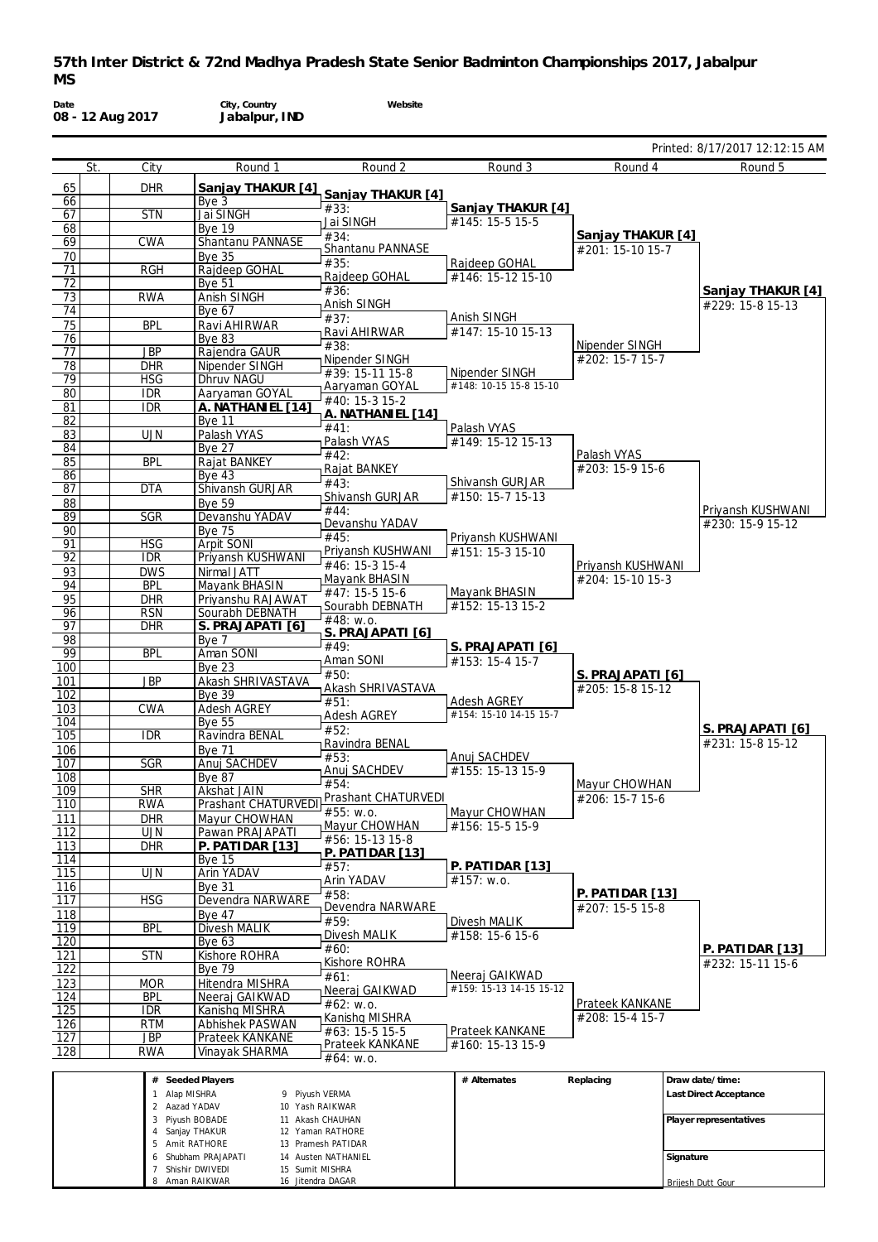**Website**

**Date 08 - 12 Aug 2017**

**City, Country Jabalpur, IND**

 Amit RATHORE Shubham PRAJAPATI Shishir DWIVEDI Aman RAIKWAR

 Pramesh PATIDAR Austen NATHANIEL Sumit MISHRA Jitendra DAGAR

|            |     |                                |                                                              |                                     |                                          |                                       | Printed: 8/17/2017 12:12:15 AM        |
|------------|-----|--------------------------------|--------------------------------------------------------------|-------------------------------------|------------------------------------------|---------------------------------------|---------------------------------------|
|            | St. | City                           | Round 1                                                      | Round 2                             | Round 3                                  | Round 4                               | Round 5                               |
| 65         |     | <b>DHR</b>                     | Sanjay THAKUR [4]                                            |                                     |                                          |                                       |                                       |
| 66         |     |                                | Bye 3                                                        | Sanjay THAKUR [4]<br>#33:           | Sanjay THAKUR [4]                        |                                       |                                       |
| 67         |     | <b>STN</b>                     | Jai SINGH                                                    | Jai SINGH                           | #145: 15-5 15-5                          |                                       |                                       |
| 68<br>69   |     | CWA                            | <b>Bye 19</b><br>Shantanu PANNASE                            | #34:                                |                                          | Sanjay THAKUR [4]                     |                                       |
| 70         |     |                                | <b>Bye 35</b>                                                | Shantanu PANNASE                    |                                          | #201: 15-10 15-7                      |                                       |
| 71         |     | <b>RGH</b>                     | Rajdeep GOHAL                                                | #35:                                | Rajdeep GOHAL                            |                                       |                                       |
| 72         |     |                                | Bye 51                                                       | Rajdeep GOHAL<br>#36:               | #146: 15-12 15-10                        |                                       |                                       |
| 73         |     | <b>RWA</b>                     | Anish SINGH                                                  | Anish SINGH                         |                                          |                                       | Sanjay THAKUR [4]<br>#229: 15-8 15-13 |
| 74         |     |                                | <b>Bye 67</b>                                                | #37:                                | Anish SINGH                              |                                       |                                       |
| 75<br>76   |     | <b>BPL</b>                     | Ravi AHIRWAR<br><b>Bye 83</b>                                | Ravi AHIRWAR                        | #147: 15-10 15-13                        |                                       |                                       |
| 77         |     | <b>JBP</b>                     | Rajendra GAUR                                                | #38:                                |                                          | Nipender SINGH                        |                                       |
| 78         |     | <b>DHR</b>                     | Nipender SINGH                                               | Nipender SINGH                      |                                          | #202: 15-7 15-7                       |                                       |
| 79         |     | <b>HSG</b>                     | Dhruv NAGU                                                   | #39: 15-11 15-8<br>Aaryaman GOYAL   | Nipender SINGH<br>#148: 10-15 15-8 15-10 |                                       |                                       |
| 80         |     | <b>IDR</b>                     | Aaryaman GOYAL                                               | #40: 15-3 15-2                      |                                          |                                       |                                       |
| 81         |     | <b>IDR</b>                     | A. NATHANIEL [14]                                            | A. NATHANIEL [14]                   |                                          |                                       |                                       |
| 82<br>83   |     | <b>UJN</b>                     | <b>Bye 11</b><br>Palash VYAS                                 | #41:                                | Palash VYAS                              |                                       |                                       |
| 84         |     |                                | <b>Bye 27</b>                                                | Palash VYAS                         | #149: 15-12 15-13                        |                                       |                                       |
| 85         |     | <b>BPL</b>                     | Rajat BANKEY                                                 | #42:                                |                                          | Palash VYAS<br>#203: 15-9 15-6        |                                       |
| 86         |     |                                | $Bye$ 43                                                     | Rajat BANKEY<br>#43:                | Shivansh GURJAR                          |                                       |                                       |
| 87         |     | <b>DTA</b>                     | Shivansh GURJAR                                              | Shivansh GURJAR                     | #150: 15-7 15-13                         |                                       |                                       |
| 88         |     | <b>SGR</b>                     | <b>Bye 59</b><br>Devanshu YADAV                              | #44:                                |                                          |                                       | Priyansh KUSHWANI                     |
| 89<br>90   |     |                                | <b>Bye 75</b>                                                | Devanshu YADAV                      |                                          |                                       | #230: 15-9 15-12                      |
| 91         |     | <b>HSG</b>                     | Arpit SONI                                                   | #45:                                | Priyansh KUSHWANI                        |                                       |                                       |
| 92         |     | <b>IDR</b>                     | Priyansh KUSHWANI                                            | Priyansh KUSHWANI<br>#46: 15-3 15-4 | #151: 15-3 15-10                         |                                       |                                       |
| 93         |     | <b>DWS</b>                     | Nirmal JATT                                                  | Mayank BHASIN                       |                                          | Priyansh KUSHWANI<br>#204: 15-10 15-3 |                                       |
| 94         |     | <b>BPL</b>                     | Mayank BHASIN                                                | #47: 15-5 15-6                      | Mayank BHASIN                            |                                       |                                       |
| 95         |     | <b>DHR</b>                     | Priyanshu RAJAWAT                                            | Sourabh DEBNATH                     | #152: 15-13 15-2                         |                                       |                                       |
| 96<br>97   |     | <b>RSN</b><br><b>DHR</b>       | Sourabh DEBNATH<br>S. PRAJAPATI [6]                          | #48: w.o.                           |                                          |                                       |                                       |
| 98         |     |                                | Bye 7                                                        | S. PRAJAPATI [6]                    |                                          |                                       |                                       |
| 99         |     | <b>BPL</b>                     | Aman SONI                                                    | #49:                                | S. PRAJAPATI [6]                         |                                       |                                       |
| 100        |     |                                | Bye $23$                                                     | Aman SONI<br>#50:                   | #153: 15-4 15-7                          | S. PRAJAPATI [6]                      |                                       |
| 101        |     | <b>JBP</b>                     | Akash SHRIVASTAVA                                            | Akash SHRIVASTAVA                   |                                          | #205: 15-8 15-12                      |                                       |
| 102<br>103 |     | <b>CWA</b>                     | <b>Bye 39</b><br>Adesh AGREY                                 | #51:                                | <b>Adesh AGREY</b>                       |                                       |                                       |
| 104        |     |                                | <b>Bye 55</b>                                                | <b>Adesh AGREY</b>                  | #154: 15-10 14-15 15-7                   |                                       |                                       |
| 105        |     | <b>IDR</b>                     | Ravindra BENAL                                               | #52:                                |                                          |                                       | S. PRAJAPATI [6]                      |
| 106        |     |                                | <b>Bye 71</b>                                                | Ravindra BENAL<br>#53:              | Anuj SACHDEV                             |                                       | #231: 15-8 15-12                      |
| 107        |     | SGR                            | Anuj SACHDEV                                                 | Anuj SACHDEV                        | #155: 15-13 15-9                         |                                       |                                       |
| 108        |     |                                | <b>Bye 87</b>                                                | #54:                                |                                          | Mayur CHOWHAN                         |                                       |
| 109<br>110 |     | <b>SHR</b><br>RWA              | Akshat JAIN                                                  | <b>Prashant CHATURVEDI</b>          |                                          | #206: 15-7 15-6                       |                                       |
| 111        |     | <b>DHR</b>                     | Prashant CHATURVEDI <sup>11</sup> 455: w.o.<br>Mayur CHOWHAN |                                     | Mayur CHOWHAN                            |                                       |                                       |
| 112        |     | <b>UJN</b>                     | Pawan PRAJAPATI                                              | Mayur CHOWHAN                       | #156: 15-5 15-9                          |                                       |                                       |
| 113        |     | <b>DHR</b>                     | P. PATIDAR [13]                                              | #56: 15-13 15-8<br>P. PATIDAR [13]  |                                          |                                       |                                       |
| 114        |     |                                | Bye $15$                                                     | #57:                                | $P.$ PATIDAR [13]                        |                                       |                                       |
| 115        |     | <b>UJN</b>                     | Arin YADAV                                                   | Arin YADAV                          | #157: w.o.                               |                                       |                                       |
| 116<br>117 |     | HSG                            | <b>Bve 31</b><br>Devendra NARWARE                            | #58:                                |                                          | <u>P. PATIDAR [13]</u>                |                                       |
| 118        |     |                                | <b>Bye 47</b>                                                | Devendra NARWARE                    |                                          | #207: 15-5 15-8                       |                                       |
| 119        |     | <b>BPL</b>                     | Divesh MALIK                                                 | #59:                                | Divesh MALIK                             |                                       |                                       |
| 120        |     |                                | Bye 63                                                       | Divesh MALIK<br>#60:                | #158: 15-6 15-6                          |                                       |                                       |
| 121        |     | <b>STN</b>                     | Kishore ROHRA                                                | Kishore ROHRA                       |                                          |                                       | P. PATIDAR [13]<br>#232: 15-11 15-6   |
| 122        |     |                                | <b>Bye 79</b>                                                | #61:                                | Neeraj GAIKWAD                           |                                       |                                       |
| 123<br>124 |     | <b>MOR</b><br><b>BPL</b>       | Hitendra MISHRA<br>Neeraj GAIKWAD                            | Neeraj GAIKWAD                      | #159: 15-13 14-15 15-12                  |                                       |                                       |
| 125        |     | <b>IDR</b>                     | Kanishq MISHRA                                               | #62: W.0.                           |                                          | <b>Prateek KANKANE</b>                |                                       |
| 126        |     | <b>RTM</b>                     | Abhishek PASWAN                                              | Kanishq MISHRA                      |                                          | #208: 15-4 15-7                       |                                       |
| 127        |     | <b>JBP</b>                     | Prateek KANKANE                                              | #63: 15-5 15-5                      | Prateek KANKANE                          |                                       |                                       |
| 128        |     | RWA                            | Vinayak SHARMA                                               | Prateek KANKANE<br>#64: w.o.        | #160: 15-13 15-9                         |                                       |                                       |
|            |     |                                |                                                              |                                     |                                          |                                       |                                       |
|            |     |                                | # Seeded Players                                             |                                     | # Alternates                             | Replacing                             | Draw date/time:                       |
|            |     | 1 Alap MISHRA<br>2 Aazad YADAV | 9 Piyush VERMA                                               | 10 Yash RAIKWAR                     |                                          |                                       | Last Direct Acceptance                |
|            |     |                                | 3 Piyush BOBADE                                              | 11 Akash CHAUHAN                    |                                          |                                       | Player representatives                |
|            |     |                                | 4 Sanjay THAKUR                                              | 12 Yaman RATHORE                    |                                          |                                       |                                       |

**Signature**

Brijesh Dutt Gour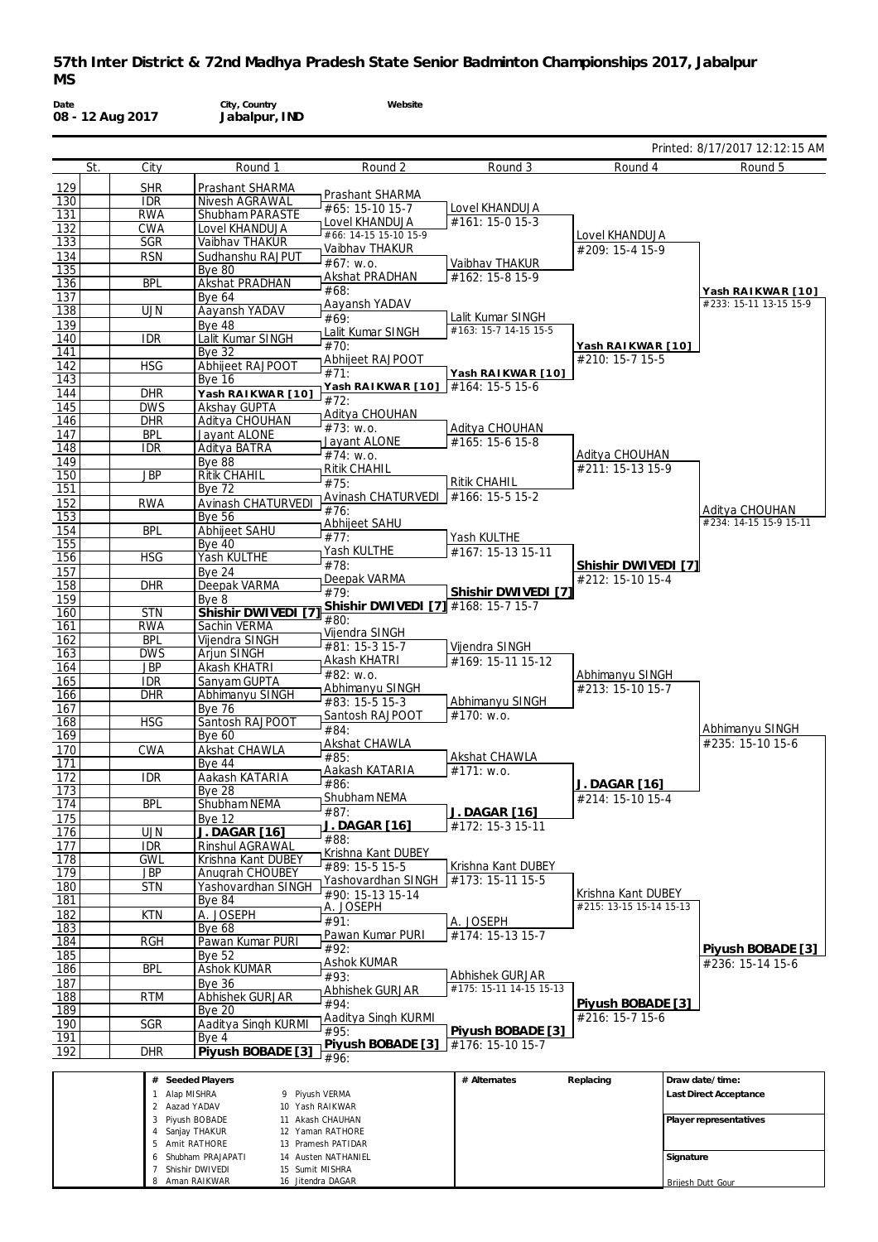**Website**

**Date 08 - 12 Aug 2017**

**City, Country Jabalpur, IND**

|                  |     |                          |                                        |                                         |                                            |                                         | Printed: 8/17/2017 12:12:15 AM |
|------------------|-----|--------------------------|----------------------------------------|-----------------------------------------|--------------------------------------------|-----------------------------------------|--------------------------------|
|                  | St. | City                     | Round 1                                | Round 2                                 | Round 3                                    | Round 4                                 | Round 5                        |
| 129              |     | <b>SHR</b>               | Prashant SHARMA                        |                                         |                                            |                                         |                                |
| 130              |     | <b>IDR</b>               | Nivesh AGRAWAL                         | Prashant SHARMA                         |                                            |                                         |                                |
| 131              |     | <b>RWA</b>               | Shubham PARASTE                        | #65: 15-10 15-7                         | Lovel KHANDUJA<br>#161: 15-0 15-3          |                                         |                                |
| 132              |     | CWA                      | Lovel KHANDUJA                         | Lovel KHANDUJA<br>#66: 14-15 15-10 15-9 |                                            | Lovel KHANDUJA                          |                                |
| 133              |     | <b>SGR</b>               | Vaibhav THAKUR                         | Vaibhav THAKUR                          |                                            | #209: 15-4 15-9                         |                                |
| 134              |     | <b>RSN</b>               | Sudhanshu RAJPUT                       | #67: w.o.                               | Vaibhav_THAKUR                             |                                         |                                |
| 135<br>136       |     | <b>BPL</b>               | <b>Bye 80</b><br><b>Akshat PRADHAN</b> | Akshat PRADHAN                          | #162: 15-8 15-9                            |                                         |                                |
| 137              |     |                          | <b>Bye 64</b>                          | #68:                                    |                                            |                                         | Yash RAIKWAR [10]              |
| 138              |     | <b>UJN</b>               | Aayansh YADAV                          | Aayansh YADAV                           |                                            |                                         | #233: 15-11 13-15 15-9         |
| 139              |     |                          | Bye 48                                 | #69:                                    | Lalit Kumar SINGH<br>#163: 15-7 14-15 15-5 |                                         |                                |
| 140              |     | <b>IDR</b>               | Lalit Kumar SINGH                      | Lalit Kumar SINGH<br>#70:               |                                            |                                         |                                |
| 141              |     |                          | <b>Bye 32</b>                          | Abhijeet RAJPOOT                        |                                            | Yash RA I KWA R [10]<br>#210: 15-7 15-5 |                                |
| 142              |     | <b>HSG</b>               | Abhijeet RAJPOOT                       | #71:                                    | Yash RAIKWAR [10]                          |                                         |                                |
| 143              |     |                          | <b>Bye 16</b>                          | Yash RAIKWAR [10]                       | #164: 15-5 15-6                            |                                         |                                |
| 144<br>145       |     | <b>DHR</b><br><b>DWS</b> | Yash RAIKWAR [10]<br>Akshay GUPTA      | #72:                                    |                                            |                                         |                                |
| 146              |     | <b>DHR</b>               | Aditya CHOUHAN                         | Aditya CHOUHAN                          |                                            |                                         |                                |
| 147              |     | <b>BPL</b>               | Jayant ALONE                           | #73: W.0.                               | Aditya CHOUHAN                             |                                         |                                |
| 148              |     | <b>IDR</b>               | Aditya BATRA                           | Jayant ALONE                            | #165: 15-6 15-8                            |                                         |                                |
| 149              |     |                          | Bye 88                                 | $#74$ : w.o.<br><b>Ritik CHAHIL</b>     |                                            | Aditya CHOUHAN<br>#211: 15-13 15-9      |                                |
| 150              |     | <b>JBP</b>               | <b>Ritik CHAHIL</b>                    | #75:                                    | <b>Ritik CHAHIL</b>                        |                                         |                                |
| 151              |     |                          | <b>Bye 72</b>                          | Avinash CHATURVEDI   #166: 15-5 15-2    |                                            |                                         |                                |
| 152              |     | <b>RWA</b>               | Avinash CHATURVEDI                     | #76:                                    |                                            |                                         | Aditya CHOUHAN                 |
| 153              |     |                          | <b>Bye 56</b>                          | Abhijeet SAHU                           |                                            |                                         | #234: 14-15 15-9 15-11         |
| 154<br>155       |     | <b>BPL</b>               | Abhijeet SAHU<br><b>Bye 40</b>         | #77:                                    | Yash KULTHE                                |                                         |                                |
| 156              |     | <b>HSG</b>               | Yash KULTHE                            | Yash KULTHE                             | #167: 15-13 15-11                          |                                         |                                |
| 157              |     |                          | <b>Bye 24</b>                          | #78:                                    |                                            | Shishir DWIVEDI [7]                     |                                |
| 158              |     | <b>DHR</b>               | Deepak VARMA                           | Deepak VARMA                            |                                            | #212: 15-10 15-4                        |                                |
| 159              |     |                          | Bye 8                                  | #79:<br>Shishir DWIVEDI [7]             | Shishir DWIVEDI [7]<br>#168: 15-7 15-7     |                                         |                                |
| 160              |     | <b>STN</b>               | Shishir DWIVEDI                        | #80:                                    |                                            |                                         |                                |
| 161              |     | <b>RWA</b>               | Sachin VERMA                           | Vijendra SINGH                          |                                            |                                         |                                |
| 162              |     | <b>BPL</b>               | Vijendra SINGH                         | #81: 15-3 15-7                          | Vijendra SINGH                             |                                         |                                |
| 163<br>164       |     | <b>DWS</b><br><b>JBP</b> | Arjun SINGH<br>Akash KHATRI            | Akash KHATRI                            | #169: 15-11 15-12                          |                                         |                                |
| 165              |     | <b>IDR</b>               | Sanyam GUPTA                           | #82: w.o.                               |                                            | Abhimanyu SINGH                         |                                |
| 166              |     | <b>DHR</b>               | Abhimanyu SINGH                        | Abhimanyu SINGH                         |                                            | #213: 15-10 15-7                        |                                |
| 167              |     |                          | <b>Bye 76</b>                          | #83: 15-5 15-3                          | Abhimanyu SINGH                            |                                         |                                |
| 168              |     | <b>HSG</b>               | Santosh RAJPOOT                        | Santosh RAJPOOT<br>#84:                 | #170: w.o.                                 |                                         | Abhimanyu SINGH                |
| 169              |     |                          | <b>Bye 60</b>                          | Akshat CHAWLA                           |                                            |                                         | #235: 15-10 15-6               |
| 170              |     | <b>CWA</b>               | Akshat CHAWLA                          | #85:                                    | Akshat CHAWLA                              |                                         |                                |
| 171              |     |                          | <b>Bye 44</b>                          | Aakash KATARIA                          | $#171:$ W.O.                               |                                         |                                |
| 172<br>173       |     | <b>IDR</b>               | Aakash KATARIA<br><b>Bye 28</b>        | #86:                                    |                                            | J. DAGAR [16]                           |                                |
| 174              |     | <b>BPL</b>               | Shubham NEMA                           | Shubham NEMA                            |                                            | #214: 15-10 15-4                        |                                |
| 175              |     |                          | <b>Bye 12</b>                          | #87:                                    | J. DAGAR [16]                              |                                         |                                |
| 176              |     | <b>UJN</b>               | <b>J. DAGAR [16]</b>                   | J. DAGAR [16]                           | #172: 15-3 15-11                           |                                         |                                |
| 177              |     | <b>IDR</b>               | Rinshul AGRAWAL                        | #88:<br>Krishna Kant DUBEY              |                                            |                                         |                                |
| $\overline{178}$ |     | <b>GWL</b>               | Krishna Kant DUBEY                     | #89: 15-5 15-5                          | Krishna Kant DUBEY                         |                                         |                                |
| $\overline{179}$ |     | <b>JBP</b>               | <b>Anugrah CHOUBEY</b>                 | Yashovardhan SINGH                      | #173: 15-11 15-5                           |                                         |                                |
| 180              |     | <b>STN</b>               | Yashovardhan SINGH                     | #90: 15-13 15-14                        |                                            | Krishna Kant DUBEY                      |                                |
| 181<br>182       |     | <b>KTN</b>               | <b>Bye 84</b><br>A. JOSEPH             | A. JOSEPH                               |                                            | #215: 13-15 15-14 15-13                 |                                |
| 183              |     |                          | Bye 68                                 | #91:                                    | A. JOSEPH                                  |                                         |                                |
| 184              |     | RGH                      | Pawan Kumar PURI                       | Pawan Kumar PURI                        | #174: 15-13 15-7                           |                                         |                                |
| 185              |     |                          | <b>Bye 52</b>                          | #92:                                    |                                            |                                         | Piyush BOBADE [3]              |
| 186              |     | <b>BPL</b>               | <b>Ashok KUMAR</b>                     | <b>Ashok KUMAR</b><br>#93:              | Abhishek GURJAR                            |                                         | #236: 15-14 15-6               |
| 187              |     |                          | <b>Bye 36</b>                          | Abhishek GURJAR                         | #175: 15-11 14-15 15-13                    |                                         |                                |
| 188              |     | <b>RTM</b>               | Abhishek GURJAR                        | #94:                                    |                                            | Piyush BOBADE [3]                       |                                |
| 189              |     |                          | <b>Bye 20</b>                          | Aaditya Singh KURMI                     |                                            | #216: 15-7 15-6                         |                                |
| 190              |     | SGR                      | Aaditya Singh KURMI                    | #95:                                    | Piyush BOBADE [3]                          |                                         |                                |
| 191<br>192       |     | <b>DHR</b>               | Bye 4<br>Piyush BOBADE [3]             | Piyush BOBADE [3]                       | #176: 15-10 15-7                           |                                         |                                |
|                  |     |                          |                                        | #96:                                    |                                            |                                         |                                |
|                  |     |                          | # Seeded Players                       |                                         | # Alternates                               | Replacing                               | Draw date/time:                |
|                  |     | 1 Alan MISHRA            | 9 Pivush VERMA                         |                                         |                                            |                                         | Last Direct Accentance         |

| Seeded Players<br># |                     | # Alternates | Replacing | I Draw date/time:      |
|---------------------|---------------------|--------------|-----------|------------------------|
| Alap MISHRA         | 9 Piyush VERMA      |              |           | Last Direct Acceptance |
| 2 Aazad YADAV       | 10 Yash RAIKWAR     |              |           |                        |
| Piyush BOBADE<br>3  | 11 Akash CHAUHAN    |              |           | Player representatives |
| Sanjay THAKUR<br>4  | 12 Yaman RATHORE    |              |           |                        |
| Amit RATHORE<br>b.  | 13 Pramesh PATIDAR  |              |           |                        |
| 6 Shubham PRAJAPATI | 14 Austen NATHANIEL |              |           | Signature              |
| Shishir DWIVEDI     | 15 Sumit MISHRA     |              |           |                        |
| Aman RAIKWAR        | 16 Jitendra DAGAR   |              |           | Briiesh Dutt Gour      |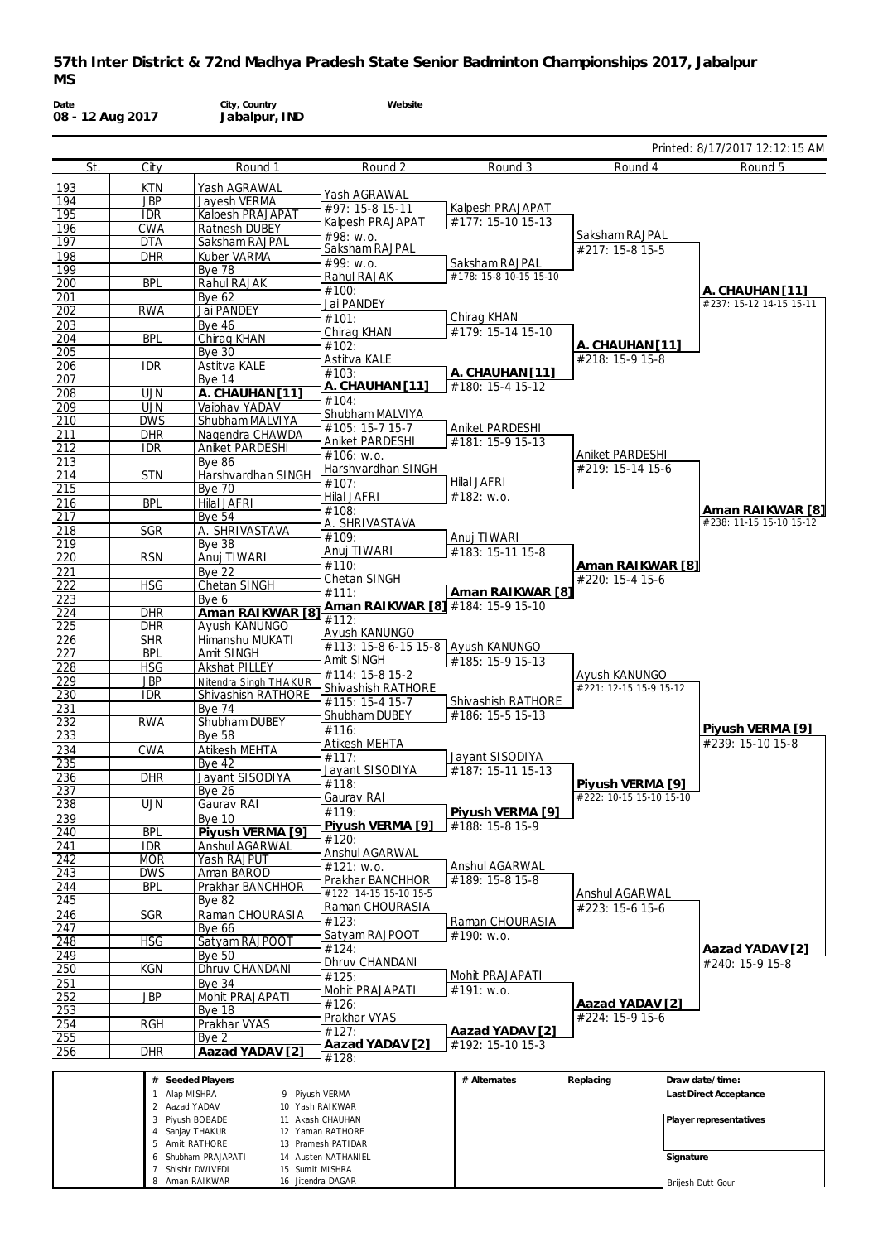**Website**

**Date 08 - 12 Aug 2017**

255 Bye 2<br>256 DHR Aaza

256 DHR **Aazad YADAV [2]**

 $\frac{1}{14128}$ 

**Aazad YADAV [2]**

**City, Country Jabalpur, IND**

|                  |                          |                                  |                                   |                        |                                         | Printed: 8/17/2017 12:12:15 AM              |
|------------------|--------------------------|----------------------------------|-----------------------------------|------------------------|-----------------------------------------|---------------------------------------------|
| St.              | City                     | Round 1                          | Round 2                           | Round 3                | Round 4                                 | Round 5                                     |
| 193              | <b>KTN</b>               | Yash AGRAWAL                     |                                   |                        |                                         |                                             |
| 194              | <b>JBP</b>               | Jayesh VERMA                     | Yash AGRAWAL<br>#97: 15-8 15-11   | Kalpesh PRAJAPAT       |                                         |                                             |
| 195              | <b>IDR</b>               | Kalpesh PRAJAPAT                 | <b>Kalpesh PRAJAPAT</b>           | #177: 15-10 15-13      |                                         |                                             |
| 196              | <b>CWA</b>               | <b>Ratnesh DUBEY</b>             | #98: w.o.                         |                        | Saksham RAJPAL                          |                                             |
| 197              | <b>DTA</b>               | Saksham RAJPAL                   | Saksham RAJPAL                    |                        | #217: 15-8 15-5                         |                                             |
| 198<br>199       | <b>DHR</b>               | Kuber VARMA                      | #99: w.o.                         | Saksham RAJPAL         |                                         |                                             |
| 200              | <b>BPL</b>               | <b>Bye 78</b><br>Rahul RAJAK     | Rahul RAJAK                       | #178: 15-8 10-15 15-10 |                                         |                                             |
| 201              |                          | <b>Bye 62</b>                    | #100:                             |                        |                                         | A. CHAUHAN [11]                             |
| 202              | <b>RWA</b>               | Jai PANDEY                       | Jai PANDEY                        |                        |                                         | #237: 15-12 14-15 15-11                     |
| 203              |                          | <b>Bye 46</b>                    | #101:                             | Chirag KHAN            |                                         |                                             |
| 204              | <b>BPL</b>               | Chirag KHAN                      | Chirag KHAN<br>#102:              | #179: 15-14 15-10      |                                         |                                             |
| 205              |                          | <b>Bye 30</b>                    | Astitva KALE                      |                        | A. CHAUHAN [11]<br>#218: 15-9 15-8      |                                             |
| 206              | <b>IDR</b>               | Astitva KALE                     | #103:                             | A. CHAUHAN [11]        |                                         |                                             |
| 207              |                          | Bye 14                           | A. CHAUHAN [11]                   | #180: 15-4 15-12       |                                         |                                             |
| 208              | <b>UJN</b>               | A. CHAUHAN [11]                  | #104:                             |                        |                                         |                                             |
| 209<br>210       | <b>UJN</b><br><b>DWS</b> | Vaibhav YADAV<br>Shubham MALVIYA | Shubham MALVIYA                   |                        |                                         |                                             |
| <u>211</u>       | <b>DHR</b>               | Nagendra CHAWDA                  | #105: 15-7 15-7                   | Aniket PARDESHI        |                                         |                                             |
| 212              | <b>IDR</b>               | Aniket PARDESHI                  | <b>Aniket PARDESHI</b>            | #181: 15-9 15-13       |                                         |                                             |
| 213              |                          | <b>Bye 86</b>                    | $#106$ : w.o.                     |                        | Aniket PARDESHI                         |                                             |
| 214              | <b>STN</b>               | Harshvardhan SINGH               | Harshvardhan SINGH                |                        | #219: 15-14 15-6                        |                                             |
| 215              |                          | <b>Bye 70</b>                    | #107:                             | <b>Hilal JAFRI</b>     |                                         |                                             |
| 216              | <b>BPL</b>               | Hilal JAFRI                      | <b>Hilal JAFRI</b>                | #182: w.o.             |                                         |                                             |
| 217              |                          | <b>Bye 54</b>                    | #108:<br>A. SHRIVASTAVA           |                        |                                         | Aman RAIKWAR [8]<br>#238: 11-15 15-10 15-12 |
| 218              | <b>SGR</b>               | A. SHRIVASTAVA                   | #109:                             | Anuj TIWARI            |                                         |                                             |
| $\overline{219}$ |                          | <b>Bye 38</b>                    | Anuj TIWARI                       | #183: 15-11 15-8       |                                         |                                             |
| 220              | <b>RSN</b>               | Anuj TIWARI                      | #110:                             |                        | Aman RAIKWAR [8]                        |                                             |
| 221              | <b>HSG</b>               | <b>Bye 22</b><br>Chetan SINGH    | Chetan SINGH                      |                        | #220: 15-4 15-6                         |                                             |
| 222<br>223       |                          | Bye 6                            | #111:                             | Aman RAIKWAR [8]       |                                         |                                             |
| 224              | <b>DHR</b>               | Aman RAIKWAR [8]                 | Aman RAIKWAR [8] #184: 15-9 15-10 |                        |                                         |                                             |
| 225              | <b>DHR</b>               | Ayush KANUNGO                    | #112:                             |                        |                                         |                                             |
| 226              | <b>SHR</b>               | Himanshu MUKATI                  | Ayush KANUNGO                     |                        |                                         |                                             |
| 227              | <b>BPL</b>               | Amit SINGH                       | #113: 15-8 6-15 15-8              | Ayush KANUNGO          |                                         |                                             |
| 228              | <b>HSG</b>               | <b>Akshat PILLEY</b>             | Amit SINGH<br>#114: 15-8 15-2     | #185: 15-9 15-13       |                                         |                                             |
| 229              | <b>JBP</b>               | Nitendra Singh THAKUR            | Shivashish RATHORE                |                        | Ayush KANUNGO<br>#221: 12-15 15-9 15-12 |                                             |
| 230              | <b>IDR</b>               | Shivashish RATHORE               | #115: 15-4 15-7                   | Shivashish RATHORE     |                                         |                                             |
| 231              |                          | <b>Bye 74</b>                    | Shubham DUBEY                     | #186: 15-5 15-13       |                                         |                                             |
| 232              | <b>RWA</b>               | Shubham DUBEY<br><b>Bye 58</b>   | #116:                             |                        |                                         | Piyush VERMA [9]                            |
| 233<br>234       | <b>CWA</b>               | Atikesh MEHTA                    | <b>Atikesh MEHTA</b>              |                        |                                         | #239: 15-10 15-8                            |
| 235              |                          | <b>Bye 42</b>                    | #117:                             | Jayant SISODIYA        |                                         |                                             |
| 236              | <b>DHR</b>               | Jayant SISODIYA                  | Jayant SISODIYA                   | #187: 15-11 15-13      |                                         |                                             |
| 237              |                          | <b>Bye 26</b>                    | #118:                             |                        | Piyush VERMA [9]                        |                                             |
| 238              | <b>UJN</b>               | Gaurav RAI                       | ⊣ Gaurav RAI                      |                        | #222: 10-15 15-10 15-10                 |                                             |
| 239              |                          | <b>Bye 10</b>                    | #119:<br>Piyush VERMA [9]         | Piyush VERMA [9]       |                                         |                                             |
| 240              | <b>BPL</b>               | Piyush VERMA [9]                 | #120:                             | #188: 15-8 15-9        |                                         |                                             |
| 241              | <b>IDR</b>               | Anshul AGARWAL                   | <b>Anshul AGARWAL</b>             |                        |                                         |                                             |
| 242              | <b>MOR</b>               | Yash RAJPUT                      | #121: w.o.                        | Anshul AGARWAL         |                                         |                                             |
| 243              | <b>DWS</b>               | Aman BAROD                       | Prakhar BANCHHOR                  | #189: 15-8 15-8        |                                         |                                             |
| 244              | <b>BPL</b>               | Prakhar BANCHHOR                 | #122: 14-15 15-10 15-5            |                        | Anshul AGARWAL                          |                                             |
| 245<br>246       | <b>SGR</b>               | <b>Bye 82</b><br>Raman CHOURASIA | Raman CHOURASIA                   |                        | #223: 15-6 15-6                         |                                             |
| 247              |                          | <b>Bve 66</b>                    | #123:                             | Raman CHOURASIA        |                                         |                                             |
| 248              | <b>HSG</b>               | Satyam RAJPOOT                   | Satyam RAJPOOT                    | #190: w.o.             |                                         |                                             |
| 249              |                          | Bye 50                           | #124:                             |                        |                                         | Aazad YADAV [2]                             |
| 250              | <b>KGN</b>               | Dhruv CHANDANI                   | Dhruv CHANDANI                    |                        |                                         | #240: 15-9 15-8                             |
| 251              |                          | Bye 34                           | #125:                             | Mohit PRAJAPATI        |                                         |                                             |
| 252              | <b>JBP</b>               | Mohit PRAJAPATI                  | Mohit PRAJAPATI                   | #191: w.o.             |                                         |                                             |
| 253              |                          | Bye 18                           | #126:                             |                        | Aazad YADAV [2]                         |                                             |
| 254              | <b>RGH</b>               | Prakhar VYAS                     | Prakhar VYAS<br>#127:             | Aazad YADAV [2]        | #224: 15-9 15-6                         |                                             |
| 255              |                          | Bye 2                            | LC1 VANAY hssali                  | #102.15.1015.3         |                                         |                                             |

| # Seeded Players    |                     | # Alternates | Replacing | Draw date/time:        |
|---------------------|---------------------|--------------|-----------|------------------------|
| Alap MISHRA         | 9 Piyush VERMA      |              |           | Last Direct Acceptance |
| Aazad YADAV         | 10 Yash RAIKWAR     |              |           |                        |
| 3 Piyush BOBADE     | 11 Akash CHAUHAN    |              |           | Player representatives |
| Sanjay THAKUR       | 12 Yaman RATHORE    |              |           |                        |
| Amit RATHORE        | 13 Pramesh PATIDAR  |              |           |                        |
| 6 Shubham PRAJAPATI | 14 Austen NATHANIEL |              |           | Signature              |
| Shishir DWIVEDI     | 15 Sumit MISHRA     |              |           |                        |
| Aman RAIKWAR        | 16 Jitendra DAGAR   |              |           | Brijesh Dutt Gour      |

**Aazad YADAV [2]** #192: 15-10 15-3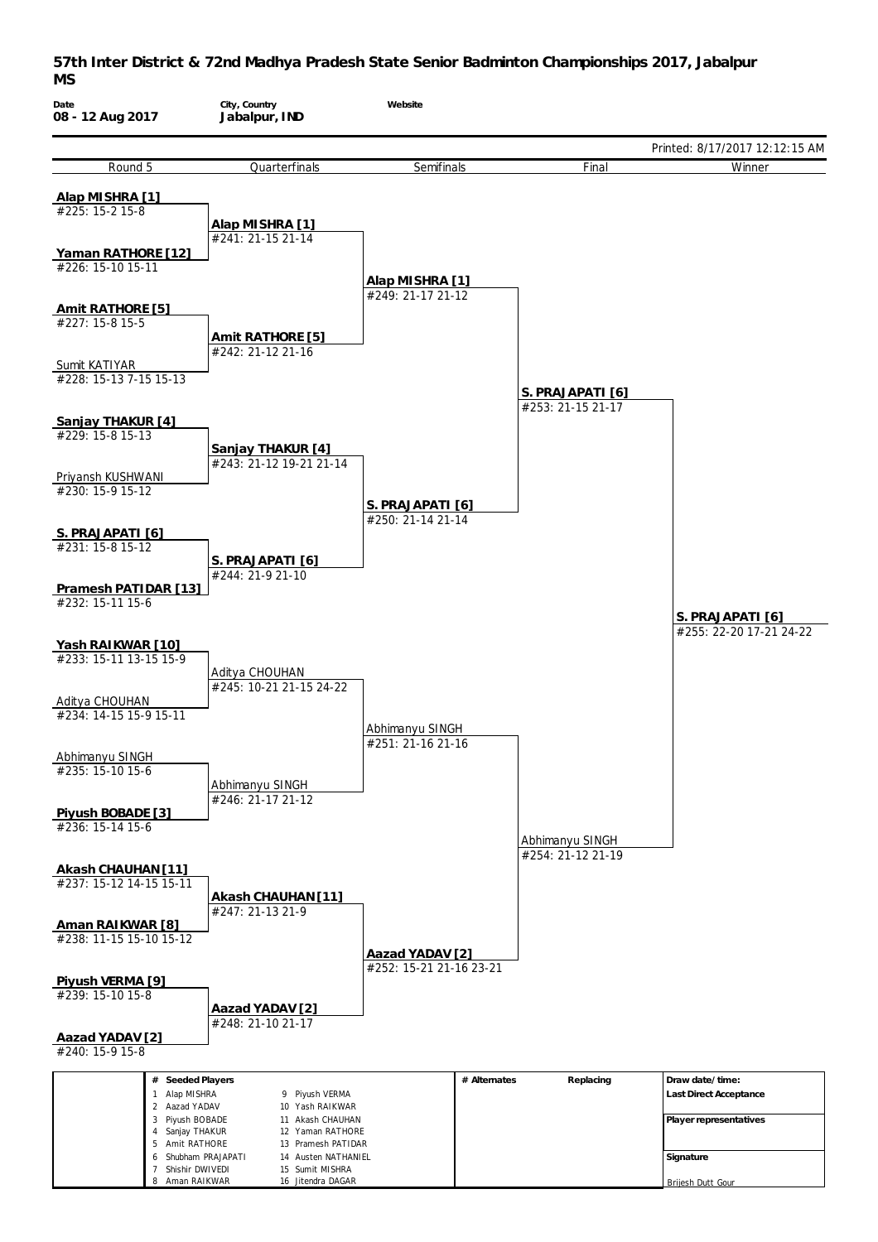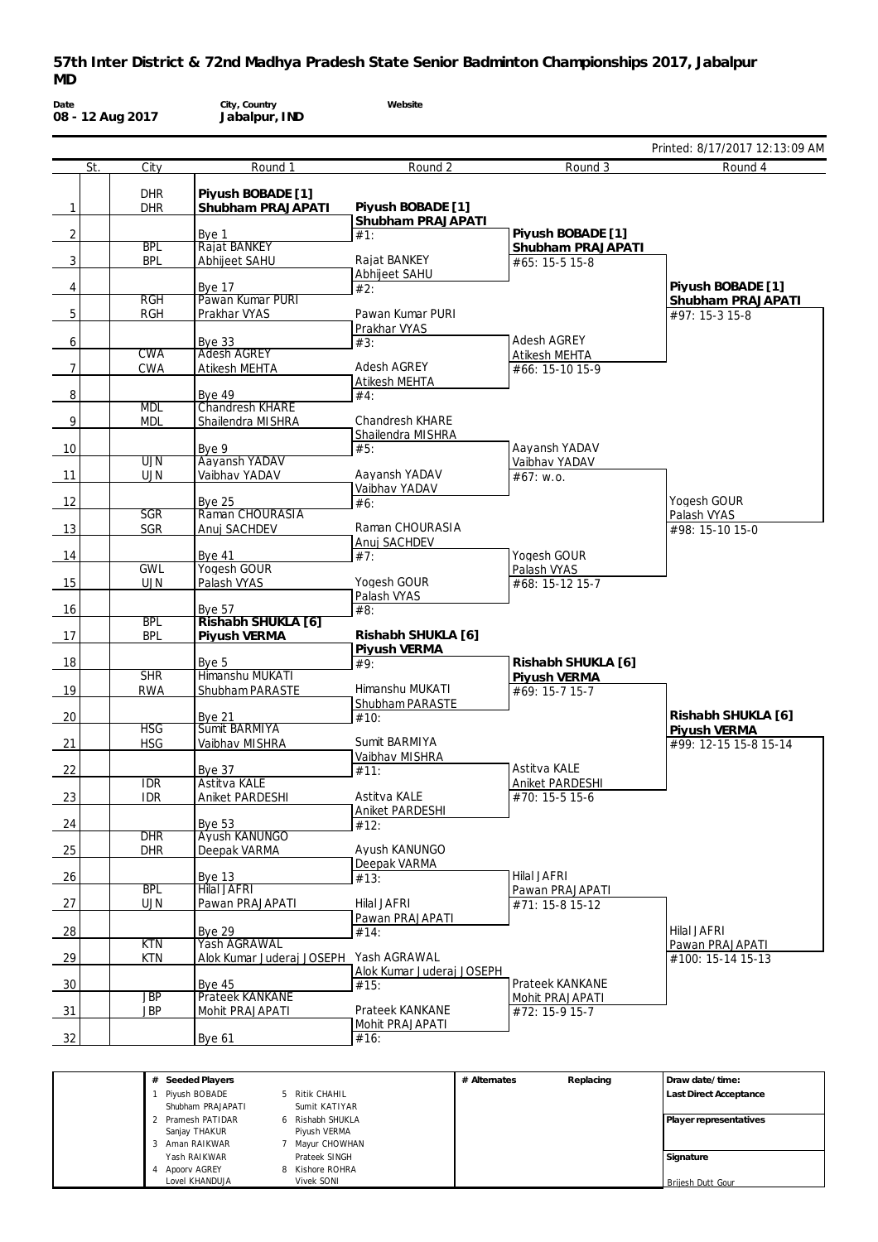| Date<br>08 - 12 Aug 2017 |            | City, Country<br>Jabalpur, IND | Website                           |                    |                                |
|--------------------------|------------|--------------------------------|-----------------------------------|--------------------|--------------------------------|
|                          |            |                                |                                   |                    | Printed: 8/17/2017 12:13:09 AM |
| St.                      | City       | Round 1                        | Round 2                           | Round 3            | Round 4                        |
|                          | <b>DHR</b> | Piyush BOBADE [1]              |                                   |                    |                                |
| 1                        | <b>DHR</b> | Shubham PRAJAPATI              | Piyush BOBADE [1]                 |                    |                                |
| 2                        |            | Bye 1                          | Shubham PRAJAPATI<br>#1:          | Piyush BOBADE [1]  |                                |
|                          | <b>BPL</b> | Rajat BANKEY                   |                                   | Shubham PRAJAPATI  |                                |
| 3                        | <b>BPL</b> | Abhijeet SAHU                  | Rajat BANKEY<br>Abhijeet SAHU     | #65: 15-5 15-8     |                                |
| 4                        |            | <b>Bve 17</b>                  | #2:                               |                    | Piyush BOBADE [1]              |
|                          | <b>RGH</b> | Pawan Kumar PURI               |                                   |                    | Shubham PRAJAPATI              |
| 5                        | <b>RGH</b> | Prakhar VYAS                   | Pawan Kumar PURI<br>Prakhar VYAS  |                    | #97: 15-3 15-8                 |
| 6                        |            | <b>Bye 33</b>                  | #3:                               | Adesh AGREY        |                                |
|                          | <b>CWA</b> | <b>Adesh AGREY</b>             |                                   | Atikesh MEHTA      |                                |
| 7                        | <b>CWA</b> | Atikesh MEHTA                  | <b>Adesh AGREY</b>                | #66: 15-10 15-9    |                                |
| 8                        |            | <b>Bye 49</b>                  | Atikesh MEHTA<br>#4:              |                    |                                |
|                          | <b>MDL</b> | <b>Chandresh KHARE</b>         |                                   |                    |                                |
| 9                        | <b>MDL</b> | Shailendra MISHRA              | <b>Chandresh KHARE</b>            |                    |                                |
| 10                       |            | Bye 9                          | Shailendra MISHRA<br>#5:          | Aayansh YADAV      |                                |
|                          | <b>UJN</b> | Aayansh YADAV                  |                                   | Vaibhav YADAV      |                                |
| 11                       | <b>UJN</b> | Vaibhav YADAV                  | Aayansh YADAV                     | #67: w.o.          |                                |
| 12                       |            | <b>Bye 25</b>                  | Vaibhav YADAV<br>#6:              |                    | Yogesh GOUR                    |
|                          | <b>SGR</b> | Raman CHOURASIA                |                                   |                    | Palash VYAS                    |
| 13                       | SGR        | Anuj SACHDEV                   | Raman CHOURASIA                   |                    | #98: 15-10 15-0                |
| 14                       |            | <b>Bye 41</b>                  | Anuj SACHDEV<br>#7:               | Yogesh GOUR        |                                |
|                          | <b>GWL</b> | Yogesh GOUR                    |                                   | Palash VYAS        |                                |
| 15                       | <b>UJN</b> | Palash VYAS                    | Yogesh GOUR                       | #68: 15-12 15-7    |                                |
| 16                       |            | Bye 57                         | Palash VYAS<br>#8:                |                    |                                |
|                          | <b>BPL</b> | Rishabh SHUKLA [6]             |                                   |                    |                                |
| 17                       | <b>BPL</b> | Piyush VERMA                   | Rishabh SHUKLA [6]                |                    |                                |
| 18                       |            | Bye 5                          | Piyush VERMA<br>#9:               | Rishabh SHUKLA [6] |                                |
|                          | SHR        | Himanshu MUKATI                |                                   | Piyush VERMA       |                                |
| 19                       | <b>RWA</b> | Shubham PARASTE                | Himanshu MUKATI                   | #69: 15-7 15-7     |                                |
| 20                       |            | <b>Bve 21</b>                  | Shubham PARASTE<br>#10:           |                    | Rishabh SHUKLA [6]             |
|                          | <b>HSG</b> | Sumit BARMIYA                  |                                   |                    | Pivush VERMA                   |
| 21                       | <b>HSG</b> | Vaibhav MISHRA                 | Sumit BARMIYA                     |                    | #99: 12-15 15-8 15-14          |
| 22                       |            | Bye 37                         | Vaibhav MISHRA<br>#11:            | Astitva KALE       |                                |
|                          | <b>IDR</b> | <b>Astitva KALE</b>            |                                   | Aniket PARDESHI    |                                |
| 23                       | <b>IDR</b> | Aniket PARDESHI                | Astitva KALE                      | $#70: 15-515-6$    |                                |
| 24                       |            | <b>Bye 53</b>                  | Aniket PARDESHI<br>#12:           |                    |                                |
|                          | DHR        | Ayush KANUNGO                  |                                   |                    |                                |
| 25                       | <b>DHR</b> | Deepak VARMA                   | Avush KANUNGO                     |                    |                                |
| 26                       |            | <b>Bye 13</b>                  | Deepak VARMA<br>#13:              | Hilal JAFRI        |                                |
|                          | <b>BPL</b> | Hilal JAFRI                    |                                   | Pawan PRAJAPATI    |                                |
| 27                       | <b>UJN</b> | Pawan PRAJAPATI                | Hilal JAFRI                       | #71: 15-8 15-12    |                                |
| 28                       |            | Bye 29                         | Pawan PRAJAPATI<br>#14:           |                    | Hilal JAFRI                    |
|                          | <b>KTN</b> | Yash AGRAWAL                   |                                   |                    | Pawan PRAJAPATI                |
| 29                       | <b>KTN</b> | Alok Kumar Juderaj JOSEPH      | Yash AGRAWAL                      |                    | #100: 15-14 15-13              |
| 30                       |            | <b>Bye 45</b>                  | Alok Kumar Juderaj JOSEPH<br>#15: | Prateek KANKANE    |                                |
|                          | <b>JBP</b> | <b>Prateek KANKANE</b>         |                                   | Mohit PRAJAPATI    |                                |
| 31                       | <b>JBP</b> | Mohit PRAJAPATI                | Prateek KANKANE                   | #72: 15-9 15-7     |                                |
| 32                       |            | <b>Bye 61</b>                  | Mohit PRAJAPATI<br>#16:           |                    |                                |
|                          |            |                                |                                   |                    |                                |
|                          |            |                                |                                   |                    |                                |

| # Seeded Players  |                      | # Alternates | Replacing | Draw date/time:        |
|-------------------|----------------------|--------------|-----------|------------------------|
| Piyush BOBADE     | 5 Ritik CHAHIL       |              |           | Last Direct Acceptance |
| Shubham PRAJAPATI | Sumit KATIYAR        |              |           |                        |
| 2 Pramesh PATIDAR | Rishabh SHUKLA<br>6. |              |           | Player representatives |
| Sanjay THAKUR     | Piyush VERMA         |              |           |                        |
| 3 Aman RAIKWAR    | Mayur CHOWHAN        |              |           |                        |
| Yash RAIKWAR      | Prateek SINGH        |              |           | Signature              |
| Apoorv AGREY      | 8 Kishore ROHRA      |              |           |                        |
| Lovel KHANDUJA    | Vivek SONI           |              |           | Briiesh Dutt Gour      |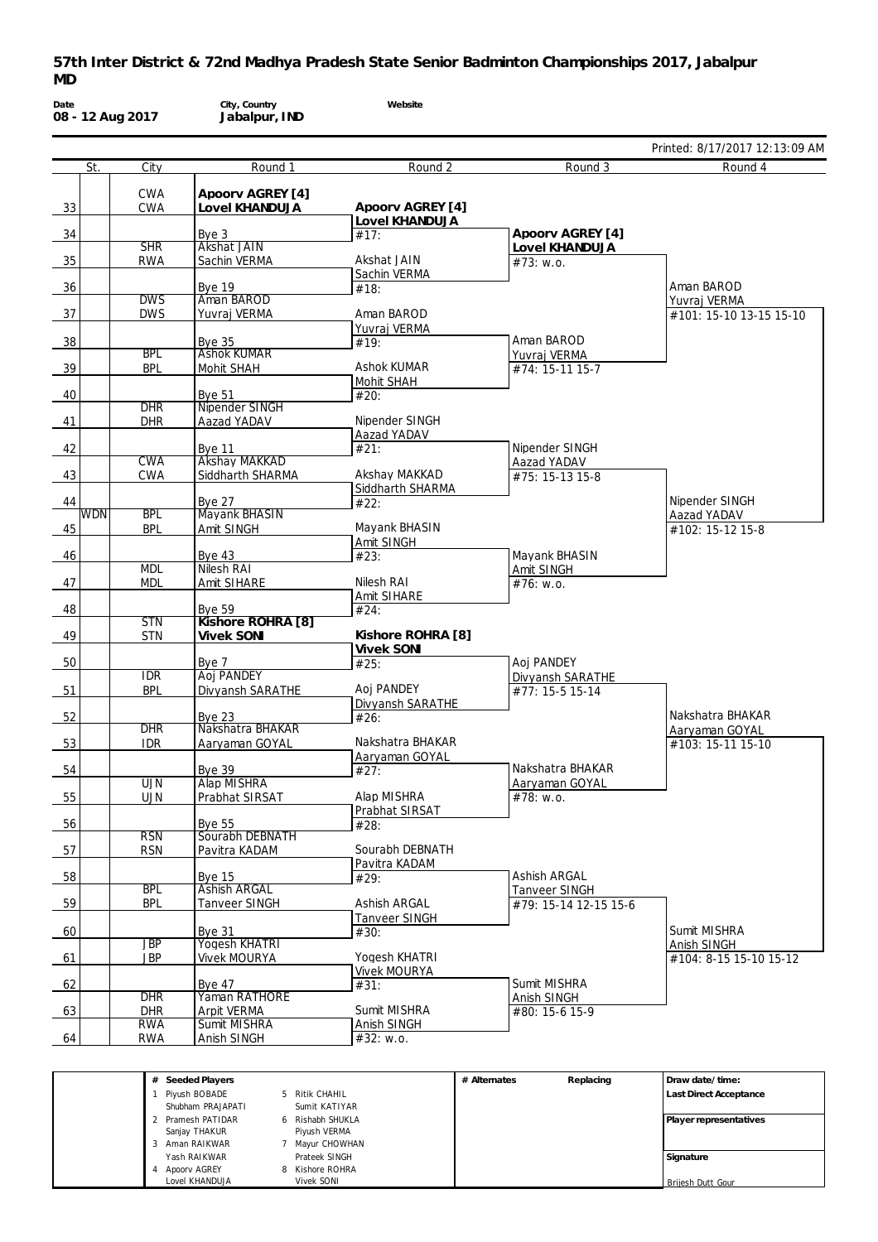|                  |                         |                                       |                     |                                      | Printed: 8/17/2017 12:13:09 AM |
|------------------|-------------------------|---------------------------------------|---------------------|--------------------------------------|--------------------------------|
| St.              | City                    | Round 1                               | Round 2             | Round 3                              | Round 4                        |
|                  | <b>CWA</b>              | Apoorv AGREY [4]                      |                     |                                      |                                |
| 33               | <b>CWA</b>              | Lovel KHANDUJA                        | Apoorv AGREY [4]    |                                      |                                |
|                  |                         |                                       | Lovel KHANDUJA      | Apoorv AGREY [4]                     |                                |
| 34               | <b>SHR</b>              | Bye $3$<br>Akshat JAIN                | #17:                | Lovel KHANDUJA                       |                                |
| 35               | <b>RWA</b>              | Sachin VERMA                          | Akshat JAIN         | #73: w.o.                            |                                |
|                  |                         | <b>Bve 19</b>                         | Sachin VERMA        |                                      | Aman BAROD                     |
| 36               | <b>DWS</b>              | Aman BAROD                            | #18:                |                                      | Yuvraj VERMA                   |
| 37               | <b>DWS</b>              | Yuvraj VERMA                          | Aman BAROD          |                                      | #101: 15-10 13-15 15-10        |
|                  |                         |                                       | Yuvraj VERMA        | Aman BAROD                           |                                |
| 38               | <b>BPL</b>              | <b>Bye 35</b><br><b>Ashok KUMAR</b>   | #19:                | Yuvraj VERMA                         |                                |
| 39               | <b>BPL</b>              | Mohit SHAH                            | Ashok KUMAR         | #74: 15-11 15-7                      |                                |
|                  |                         |                                       | Mohit SHAH          |                                      |                                |
| 40               | <b>DHR</b>              | <b>Bye 51</b><br>Nipender SINGH       | #20:                |                                      |                                |
| 41               | <b>DHR</b>              | Aazad YADAV                           | Nipender SINGH      |                                      |                                |
|                  |                         |                                       | Aazad YADAV         | Nipender SINGH                       |                                |
| 42               | <b>CWA</b>              | <b>Bve 11</b><br><b>Akshay MAKKAD</b> | #21:                | Aazad YADAV                          |                                |
| 43               | <b>CWA</b>              | Siddharth SHARMA                      | Akshay MAKKAD       | #75: 15-13 15-8                      |                                |
|                  |                         |                                       | Siddharth SHARMA    |                                      | Nipender SINGH                 |
| 44<br><b>WDN</b> | <b>BPL</b>              | <b>Bye 27</b><br><b>Mayank BHASIN</b> | #22:                |                                      | Aazad YADAV                    |
| 45               | <b>BPL</b>              | Amit SINGH                            | Mayank BHASIN       |                                      | #102: 15-12 15-8               |
|                  |                         |                                       | Amit SINGH          |                                      |                                |
| 46               | <b>MDL</b>              | Bye $43$<br>Nilesh RAI                | #23:                | Mayank BHASIN<br>Amit SINGH          |                                |
| 47               | <b>MDL</b>              | Amit SIHARE                           | Nilesh RAI          | #76: w.o.                            |                                |
|                  |                         |                                       | Amit SIHARE         |                                      |                                |
| 48               | <b>STN</b>              | <b>Bye 59</b><br>Kishore ROHRA [8]    | #24:                |                                      |                                |
| 49               | <b>STN</b>              | <b>Vivek SONI</b>                     | Kishore ROHRA [8]   |                                      |                                |
|                  |                         |                                       | <b>Vivek SONI</b>   |                                      |                                |
| 50               | <b>IDR</b>              | Bye 7<br><b>Aoj PANDEY</b>            | #25:                | Aoj PANDEY<br>Divyansh SARATHE       |                                |
| 51               | <b>BPL</b>              | Divyansh SARATHE                      | Aoj PANDEY          | #77: 15-5 15-14                      |                                |
|                  |                         |                                       | Divyansh SARATHE    |                                      | Nakshatra BHAKAR               |
| 52               | <b>DHR</b>              | <b>Bve 23</b><br>Nakshatra BHAKAR     | #26:                |                                      | Aaryaman GOYAL                 |
| 53               | <b>IDR</b>              | Aaryaman GOYAL                        | Nakshatra BHAKAR    |                                      | #103: 15-11 15-10              |
|                  |                         |                                       | Aaryaman GOYAL      | Nakshatra BHAKAR                     |                                |
| 54               | <b>UJN</b>              | <b>Bye 39</b><br><b>Alap MISHRA</b>   | #27:                | Aaryaman GOYAL                       |                                |
| 55               | <b>UJN</b>              | Prabhat SIRSAT                        | Alap MISHRA         | #78: w.o.                            |                                |
|                  |                         |                                       | Prabhat SIRSAT      |                                      |                                |
| 56               | <b>RSN</b>              | <b>Bye 55</b><br>Sourabh DEBNATH      | #28:                |                                      |                                |
| 57               | <b>RSN</b>              | Pavitra KADAM                         | Sourabh DEBNATH     |                                      |                                |
|                  |                         |                                       | Pavitra KADAM       |                                      |                                |
| 58               | <b>BPL</b>              | <b>Bye 15</b><br><b>Ashish ARGAL</b>  | #29:                | Ashish ARGAL<br><b>Tanveer SINGH</b> |                                |
| 59               | <b>BPL</b>              | <b>Tanveer SINGH</b>                  | Ashish ARGAL        | #79: 15-14 12-15 15-6                |                                |
|                  |                         |                                       | Tanveer SINGH       |                                      |                                |
| 60               | $\overline{\text{JBP}}$ | <b>Bve 31</b><br><b>Yogesh KHATRI</b> | #30:                |                                      | Sumit MISHRA<br>Anish SINGH    |
| 61               | <b>JBP</b>              | <b>Vivek MOURYA</b>                   | Yogesh KHATRI       |                                      | #104: 8-15 15-10 15-12         |
|                  |                         |                                       | <b>Vivek MOURYA</b> |                                      |                                |
| 62               | DHR                     | Bye $47$<br>Yaman RATHORE             | #31:                | Sumit MISHRA<br>Anish SINGH          |                                |
| 63               | <b>DHR</b>              | Arpit VERMA                           | Sumit MISHRA        | #80: 15-6 15-9                       |                                |
|                  | <b>RWA</b>              | Sumit MISHRA                          | Anish SINGH         |                                      |                                |
|                  | <b>RWA</b>              | Anish SINGH                           | #32: w.o.           |                                      |                                |

| <b>SCCUCULIQVEIS</b> |                | $\pi$ Alleriales | <b>REPIGLING</b><br>LUI QW YQUC/UILIC. |  |
|----------------------|----------------|------------------|----------------------------------------|--|
| Piyush BOBADE        | Ritik CHAHIL   |                  | Last Direct Acceptance                 |  |
| Shubham PRAJAPATI    | Sumit KATIYAR  |                  |                                        |  |
| 2 Pramesh PATIDAR    | Rishabh SHUKLA |                  | Player representatives                 |  |
| Sanjay THAKUR        | Piyush VERMA   |                  |                                        |  |
| Aman RAIKWAR         | Mayur CHOWHAN  |                  |                                        |  |
| Yash RAIKWAR         | Prateek SINGH  |                  | Signature                              |  |
| Apoory AGREY         | Kishore ROHRA  |                  |                                        |  |
| Lovel KHANDUJA       | Vivek SONI     |                  | Brijesh Dutt Gour                      |  |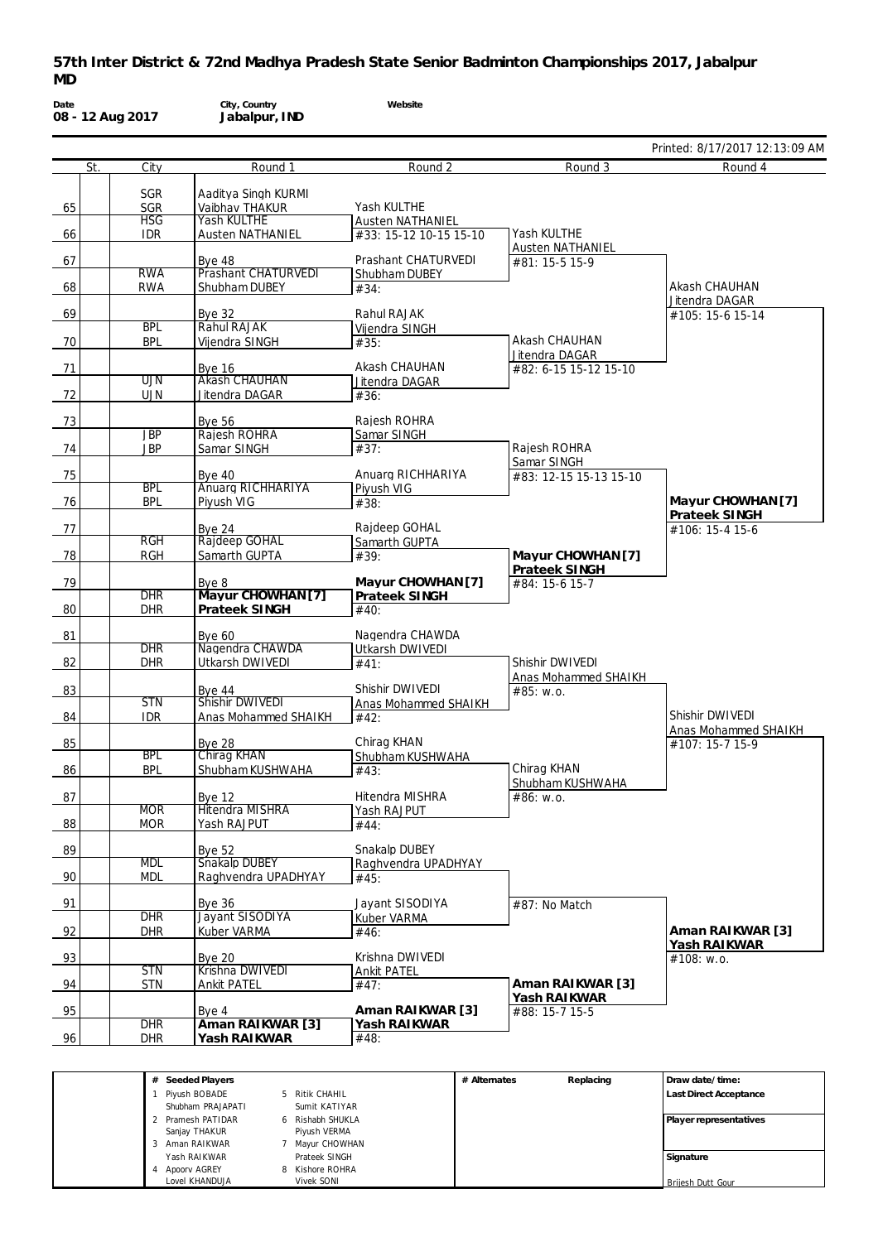|     |                          |                                       |                                         |                                        | Printed: 8/17/2017 12:13:09 AM     |
|-----|--------------------------|---------------------------------------|-----------------------------------------|----------------------------------------|------------------------------------|
| St. | City                     | Round 1                               | Round 2                                 | Round 3                                | Round 4                            |
|     | <b>SGR</b>               | Aaditya Singh KURMI                   |                                         |                                        |                                    |
| 65  | <b>SGR</b>               | Vaibhav THAKUR                        | Yash KULTHE                             |                                        |                                    |
|     | <b>HSG</b>               | Yash KULTHE                           | <b>Austen NATHANIEL</b>                 |                                        |                                    |
| 66  | <b>IDR</b>               | <b>Austen NATHANIEL</b>               | #33: 15-12 10-15 15-10                  | Yash KULTHE<br><b>Austen NATHANIEL</b> |                                    |
|     |                          | Bye $48$                              | Prashant CHATURVEDI                     | #81: 15-5 15-9                         |                                    |
|     | <b>RWA</b>               | Prashant CHATURVEDI                   | Shubham DUBEY                           |                                        |                                    |
| 68  | <b>RWA</b>               | Shubham DUBEY                         | #34:                                    |                                        | Akash CHAUHAN                      |
| 69  |                          | <b>Bye 32</b>                         | Rahul RAJAK                             |                                        | Jitendra DAGAR<br>#105: 15-6 15-14 |
|     | <b>BPL</b>               | Rahul RAJAK                           | Vijendra SINGH                          |                                        |                                    |
| 70  | <b>BPL</b>               | Vijendra SINGH                        | #35:                                    | Akash CHAUHAN                          |                                    |
| 71  |                          |                                       | Akash CHAUHAN                           | Jitendra DAGAR                         |                                    |
|     | UJN                      | <b>Bye 16</b><br><b>Akash CHAUHAN</b> | Jitendra DAGAR                          | #82: 6-15 15-12 15-10                  |                                    |
| 72  | <b>UJN</b>               | Jitendra DAGAR                        | #36:                                    |                                        |                                    |
|     |                          |                                       |                                         |                                        |                                    |
| 73  | <b>JBP</b>               | <b>Bye 56</b><br><b>Rajesh ROHRA</b>  | Rajesh ROHRA                            |                                        |                                    |
| 74  | <b>JBP</b>               | Samar SINGH                           | Samar SINGH<br>#37:                     | Rajesh ROHRA                           |                                    |
|     |                          |                                       |                                         | Samar SINGH                            |                                    |
| 75  |                          | <b>Bye 40</b>                         | Anuarg RICHHARIYA                       | #83: 12-15 15-13 15-10                 |                                    |
|     | <b>BPL</b>               | Anuarg RICHHARIYA                     | Piyush VIG                              |                                        | Mayur CHOWHAN [7]                  |
| 76  | <b>BPL</b>               | Piyush VIG                            | #38:                                    |                                        | <b>Prateek SINGH</b>               |
| 77  |                          | Bye $24$                              | Rajdeep GOHAL                           |                                        | #106: 15-4 15-6                    |
|     | RGH                      | Rajdeep GOHAL                         | Samarth GUPTA                           |                                        |                                    |
| 78  | <b>RGH</b>               | Samarth GUPTA                         | #39:                                    | Mayur CHOWHAN [7]                      |                                    |
| 79  |                          | Bye 8                                 | Mayur CHOWHAN [7]                       | Prateek SINGH<br>#84: 15-6 15-7        |                                    |
|     | <b>DHR</b>               | Mayur CHOWHAN [7]                     | Prateek SINGH                           |                                        |                                    |
| 80  | <b>DHR</b>               | Prateek SINGH                         | #40:                                    |                                        |                                    |
| 81  |                          | <b>Bye 60</b>                         | Nagendra CHAWDA                         |                                        |                                    |
|     | <b>DHR</b>               | Nagendra CHAWDA                       | Utkarsh DWIVEDI                         |                                        |                                    |
| 82  | <b>DHR</b>               | Utkarsh DWIVEDI                       | #41:                                    | Shishir DWIVEDI                        |                                    |
|     |                          |                                       |                                         | <b>Anas Mohammed SHAIKH</b>            |                                    |
| 83  | <b>STN</b>               | <b>Bye 44</b><br>Shishir DWIVEDI      | Shishir DWIVEDI<br>Anas Mohammed SHAIKH | #85: w.o.                              |                                    |
| 84  | <b>IDR</b>               | Anas Mohammed SHAIKH                  | #42:                                    |                                        | Shishir DWIVEDI                    |
|     |                          |                                       |                                         |                                        | Anas Mohammed SHAIKH               |
| 85  | <b>BPL</b>               | Bye 28<br>Chirag KHAN                 | Chirag KHAN                             |                                        | #107: 15-7 15-9                    |
| 86  | <b>BPL</b>               | Shubham KUSHWAHA                      | Shubham KUSHWAHA<br>#43:                | Chirag KHAN                            |                                    |
|     |                          |                                       |                                         | Shubham KUSHWAHA                       |                                    |
| 87  |                          | <b>Bye 12</b>                         | Hitendra MISHRA                         | #86: w.o.                              |                                    |
| 88  | <b>MOR</b><br><b>MOR</b> | <b>Hitendra MISHRA</b><br>Yash RAJPUT | Yash RAJPUT                             |                                        |                                    |
|     |                          |                                       | #44:                                    |                                        |                                    |
| 89  |                          | <b>Bye 52</b>                         | Snakalp DUBEY                           |                                        |                                    |
|     | <b>MDL</b>               | Snakalp DUBEY                         | Raghvendra UPADHYAY                     |                                        |                                    |
| 90  | <b>MDL</b>               | Raghvendra UPADHYAY                   | #45:                                    |                                        |                                    |
| 91  |                          | <b>Bye 36</b>                         | Jayant SISODIYA                         | #87: No Match                          |                                    |
|     | DHR                      | <b>Jayant SISODIYA</b>                | Kuber VARMA                             |                                        |                                    |
| 92  | <b>DHR</b>               | Kuber VARMA                           | #46:                                    |                                        | Aman RAIKWAR [3]                   |
| 93  |                          | <b>Bye 20</b>                         | Krishna DWIVEDI                         |                                        | Yash RAIKWAR                       |
|     | <b>STN</b>               | Krishna DWIVEDI                       | <b>Ankit PATEL</b>                      |                                        | #108: w.o.                         |
| 94  | <b>STN</b>               | <b>Ankit PATEL</b>                    | #47:                                    | Aman RAIKWAR [3]                       |                                    |
|     |                          |                                       |                                         | Yash RAIKWAR                           |                                    |
| 95  | DHR                      | Bye 4<br>Aman RAIKWAR <sup>[3]</sup>  | Aman RAIKWAR [3]<br>Yash RAIKWAR        | #88: 15-7 15-5                         |                                    |
| 96  | <b>DHR</b>               | Yash RAIKWAR                          | #48:                                    |                                        |                                    |
|     |                          |                                       |                                         |                                        |                                    |
|     |                          |                                       |                                         |                                        |                                    |

**Signature**

Brijesh Dutt Gour

Sanjay THAKUR 3 Aman RAIKWAR Yash RAIKWAR 4 Apoorv AGREY Lovel KHANDUJA

Piyush VERMA 7 Mayur CHOWHAN Prateek SINGH 8 Kishore ROHRA Vivek SONI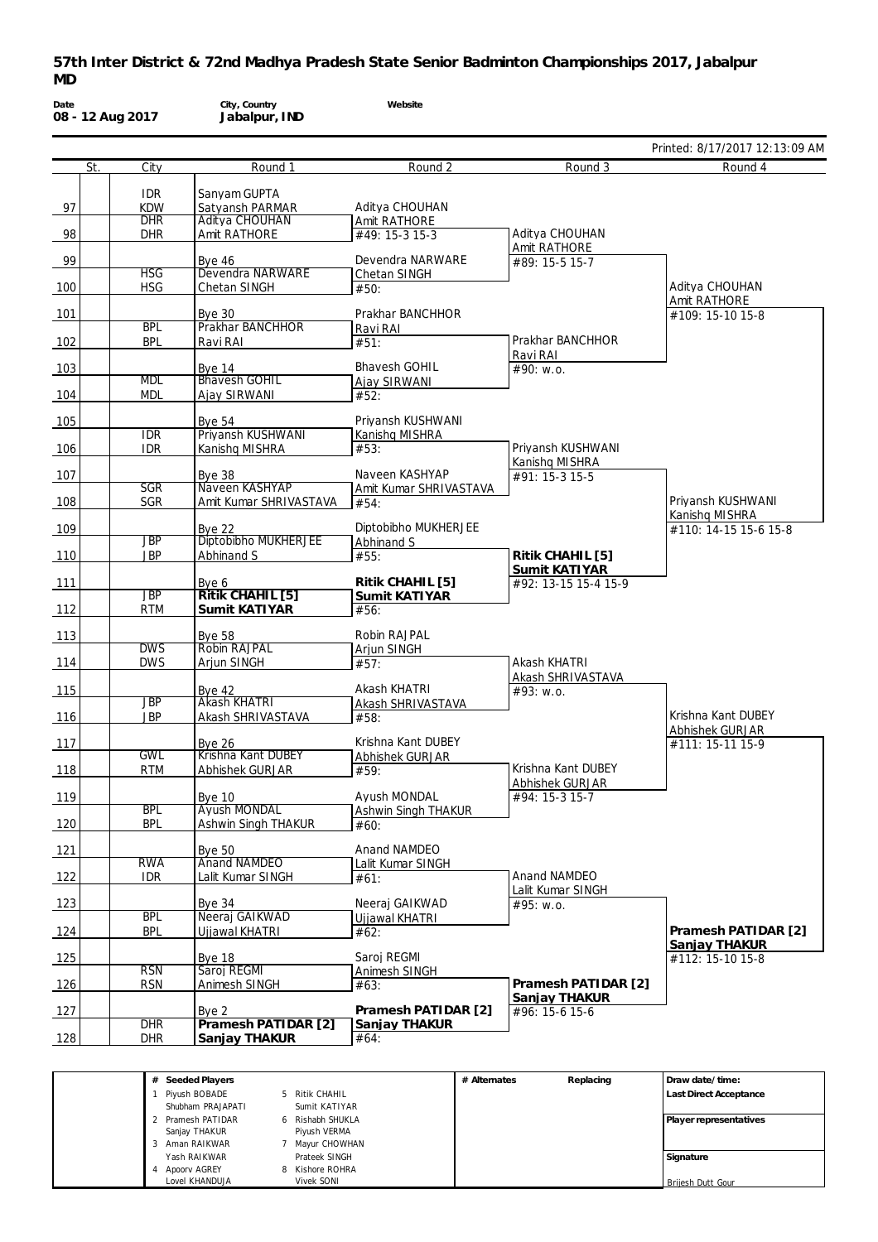|                                 |                          |                                          |                                     |                                     | Printed: 8/17/2017 12:13:09 AM          |
|---------------------------------|--------------------------|------------------------------------------|-------------------------------------|-------------------------------------|-----------------------------------------|
| St.                             | City                     | Round 1                                  | Round 2                             | Round 3                             | Round 4                                 |
|                                 | <b>IDR</b>               | Sanyam GUPTA                             |                                     |                                     |                                         |
| 97                              | <b>KDW</b>               | Satyansh PARMAR                          | Aditya CHOUHAN                      |                                     |                                         |
|                                 | <b>DHR</b>               | Aditya CHOUHAN                           | Amit RATHORE                        |                                     |                                         |
| 98                              | <b>DHR</b>               | Amit RATHORE                             | #49: 15-3 15-3                      | Aditya CHOUHAN                      |                                         |
| 99                              |                          | <b>Bye 46</b>                            | Devendra NARWARE                    | Amit RATHORE<br>#89: 15-5 15-7      |                                         |
|                                 | <b>HSG</b>               | Devendra NARWARE                         | Chetan SINGH                        |                                     |                                         |
| 100                             | <b>HSG</b>               | Chetan SINGH                             | #50:                                |                                     | Aditya CHOUHAN                          |
| 101                             |                          | <b>Bye 30</b>                            | Prakhar BANCHHOR                    |                                     | Amit RATHORE                            |
|                                 | <b>BPL</b>               | Prakhar BANCHHOR                         | Ravi RAI                            |                                     | #109: 15-10 15-8                        |
| 102                             | <b>BPL</b>               | Ravi RAI                                 | #51:                                | Prakhar BANCHHOR                    |                                         |
|                                 |                          |                                          |                                     | Ravi RAI                            |                                         |
| 103                             | <b>MDL</b>               | <b>Bye 14</b><br><b>Bhavesh GOHIL</b>    | <b>Bhavesh GOHIL</b>                | #90: w.o.                           |                                         |
| 104                             | <b>MDL</b>               | Ajay SIRWANI                             | Ajay SIRWANI<br>#52:                |                                     |                                         |
|                                 |                          |                                          |                                     |                                     |                                         |
| 105                             |                          | Bye $54$                                 | Privansh KUSHWANI                   |                                     |                                         |
|                                 | <b>IDR</b>               | Priyansh KUSHWANI                        | Kanishq MISHRA                      |                                     |                                         |
| 106                             | <b>IDR</b>               | Kanishq MISHRA                           | #53:                                | Priyansh KUSHWANI<br>Kanishq MISHRA |                                         |
| 107                             |                          | <b>Bye 38</b>                            | Naveen KASHYAP                      | #91: 15-3 15-5                      |                                         |
|                                 | <b>SGR</b>               | Naveen KASHYAP                           | Amit Kumar SHRIVASTAVA              |                                     |                                         |
| 108                             | <b>SGR</b>               | Amit Kumar SHRIVASTAVA                   | #54:                                |                                     | Privansh KUSHWANI                       |
| 109                             |                          | <b>Bye 22</b>                            | Diptobibho MUKHERJEE                |                                     | Kanishg MISHRA<br>#110: 14-15 15-6 15-8 |
|                                 | <b>JBP</b>               | Diptobibho MUKHERJEE                     | Abhinand S                          |                                     |                                         |
| 110                             | <b>JBP</b>               | Abhinand S                               | #55:                                | Ritik CHAHIL [5]                    |                                         |
|                                 |                          |                                          |                                     | Sumit KATIYAR                       |                                         |
| 111                             | $\overline{\text{JBP}}$  | Bye 6<br>Ritik CHAHIL [5]                | Ritik CHAHIL [5]                    | #92: 13-15 15-4 15-9                |                                         |
| 112                             | <b>RTM</b>               | Sumit KATIYAR                            | Sumit KATIYAR<br>#56:               |                                     |                                         |
|                                 |                          |                                          |                                     |                                     |                                         |
| 113                             |                          | <b>Bye 58</b>                            | Robin RAJPAL                        |                                     |                                         |
|                                 | <b>DWS</b><br><b>DWS</b> | <b>Robin RAJPAL</b>                      | Arjun SINGH                         | Akash KHATRI                        |                                         |
| 114                             |                          | Arjun SINGH                              | #57:                                | Akash SHRIVASTAVA                   |                                         |
| 115                             |                          | Bye 42                                   | Akash KHATRI                        | #93: w.o.                           |                                         |
|                                 | <b>JBP</b>               | Akash KHATRI                             | Akash SHRIVASTAVA                   |                                     |                                         |
| 116                             | <b>JBP</b>               | Akash SHRIVASTAVA                        | #58:                                |                                     | Krishna Kant DUBEY                      |
| 117                             |                          | <b>Bye 26</b>                            | Krishna Kant DUBEY                  |                                     | Abhishek GURJAR<br>#111: 15-11 15-9     |
|                                 | <b>GWL</b>               | Krishna Kant DUBEY                       | Abhishek GURJAR                     |                                     |                                         |
| 118                             | <b>RTM</b>               | Abhishek GURJAR                          | #59:                                | Krishna Kant DUBEY                  |                                         |
|                                 |                          |                                          |                                     | Abhishek GURJAR                     |                                         |
| 119                             | <b>BPL</b>               | <b>Bve 10</b><br><b>Ayush MONDAL</b>     | Ayush MONDAL<br>Ashwin Singh THAKUR | #94: 15-3 15-7                      |                                         |
| 120                             | <b>BPL</b>               | Ashwin Singh THAKUR                      | #60:                                |                                     |                                         |
|                                 |                          |                                          |                                     |                                     |                                         |
| 121                             |                          | <b>Bye 50</b>                            | Anand NAMDEO                        |                                     |                                         |
| 122                             | <b>RWA</b><br><b>IDR</b> | <b>Anand NAMDEO</b><br>Lalit Kumar SINGH | Lalit Kumar SINGH<br>#61:           | Anand NAMDEO                        |                                         |
|                                 |                          |                                          |                                     | Lalit Kumar SINGH                   |                                         |
| 123                             |                          | Bye $34$                                 | Neeraj GAIKWAD                      | #95: w.o.                           |                                         |
|                                 | <b>BPL</b>               | Neeraj GAIKWAD                           | Ujjawal KHATRI                      |                                     |                                         |
|                                 | <b>BPL</b>               | Uijawal KHATRI                           | #62:                                |                                     | Pramesh PATIDAR [2]                     |
|                                 |                          | <b>Bye 18</b>                            | Saroj REGMI                         |                                     | Sanjay THAKUR<br>$#112: 15-1015-8$      |
|                                 |                          |                                          | Animesh SINGH                       |                                     |                                         |
|                                 | <b>RSN</b>               | Saroj REGMI                              |                                     |                                     |                                         |
|                                 | <b>RSN</b>               | Animesh SINGH                            | #63:                                | Pramesh PATIDAR [2]                 |                                         |
|                                 |                          |                                          |                                     | Sanjay THAKUR                       |                                         |
|                                 |                          | Bye 2                                    | Pramesh PATIDAR [2]                 | #96: 15-6 15-6                      |                                         |
| 124<br>125<br>126<br>127<br>128 | DHR<br><b>DHR</b>        | Pramesh PATIDAR [2]<br>Sanjay THAKUR     | Sanjay THAKUR<br>#64:               |                                     |                                         |

|  | Pivush BOBADE     |    | Ritik CHAHIL   | Last Direct Acceptance |
|--|-------------------|----|----------------|------------------------|
|  | Shubham PRAJAPATI |    | Sumit KATIYAR  |                        |
|  | 2 Pramesh PATIDAR | 6. | Rishabh SHUKLA | Player representatives |
|  | Sanjay THAKUR     |    | Pivush VERMA   |                        |
|  | Aman RAIKWAR      |    | Mayur CHOWHAN  |                        |
|  | Yash RAIKWAR      |    | Prateek SINGH  | Signature              |
|  | Apoory AGREY      |    | Kishore ROHRA  |                        |
|  | Lovel KHANDUJA    |    | Vivek SONI     | Briiesh Dutt Gour      |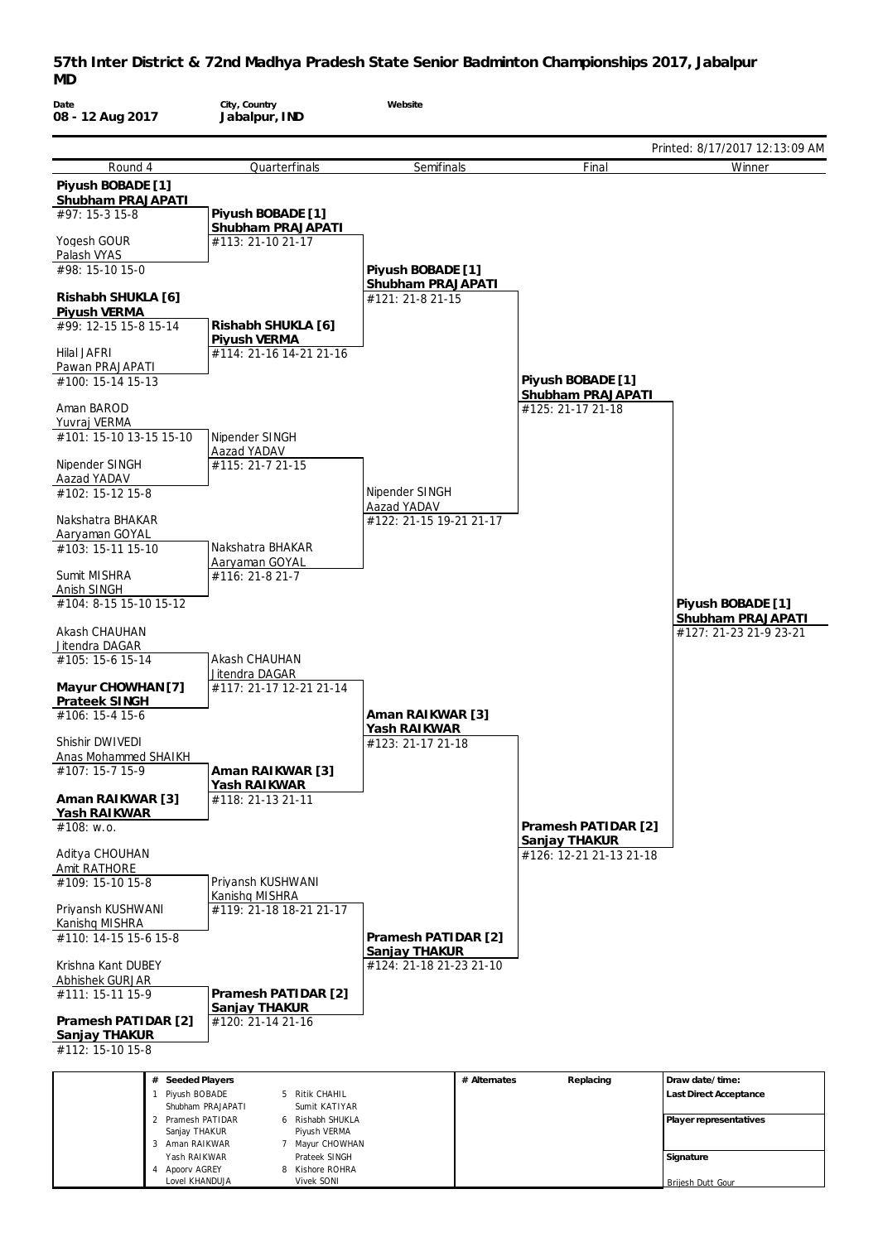| Date                                    | City, Country                                             | Website                                |              |                                          |                                             |
|-----------------------------------------|-----------------------------------------------------------|----------------------------------------|--------------|------------------------------------------|---------------------------------------------|
| 08 - 12 Aug 2017                        | Jabalpur, IND                                             |                                        |              |                                          |                                             |
|                                         |                                                           |                                        |              |                                          | Printed: 8/17/2017 12:13:09 AM              |
| Round 4                                 | Quarterfinals                                             | Semifinals                             |              | Final                                    | Winner                                      |
| Piyush BOBADE [1]<br>Shubham PRAJAPATI  |                                                           |                                        |              |                                          |                                             |
| #97: 15-3 15-8                          | Piyush BOBADE [1]<br>Shubham PRAJAPATI                    |                                        |              |                                          |                                             |
| Yogesh GOUR<br>Palash VYAS              | #113: 21-10 21-17                                         |                                        |              |                                          |                                             |
| #98: 15-10 15-0                         |                                                           | Piyush BOBADE [1]<br>Shubham PRAJAPATI |              |                                          |                                             |
| Rishabh SHUKLA [6]<br>Piyush VERMA      |                                                           | #121: 21-8 21-15                       |              |                                          |                                             |
| #99: 12-15 15-8 15-14                   | Rishabh SHUKLA [6]<br>Piyush VERMA                        |                                        |              |                                          |                                             |
| <b>Hilal JAFRI</b>                      | #114: 21-16 14-21 21-16                                   |                                        |              |                                          |                                             |
| Pawan PRAJAPATI<br>#100: 15-14 15-13    |                                                           |                                        |              | Piyush BOBADE [1]                        |                                             |
| Aman BAROD                              |                                                           |                                        |              | Shubham PRAJAPATI<br>#125: 21-17 21-18   |                                             |
| Yuvraj VERMA<br>#101: 15-10 13-15 15-10 | Nipender SINGH                                            |                                        |              |                                          |                                             |
|                                         | Aazad YADAV                                               |                                        |              |                                          |                                             |
| Nipender SINGH<br>Aazad YADAV           | #115: 21-7 21-15                                          |                                        |              |                                          |                                             |
| #102: 15-12 15-8                        |                                                           | Nipender SINGH<br>Aazad YADAV          |              |                                          |                                             |
| Nakshatra BHAKAR                        |                                                           | #122: 21-15 19-21 21-17                |              |                                          |                                             |
| Aaryaman GOYAL<br>#103: 15-11 15-10     | Nakshatra BHAKAR                                          |                                        |              |                                          |                                             |
| Sumit MISHRA                            | Aaryaman GOYAL<br>#116: 21-8 21-7                         |                                        |              |                                          |                                             |
| Anish SINGH<br>#104: 8-15 15-10 15-12   |                                                           |                                        |              |                                          | Piyush BOBADE [1]                           |
| Akash CHAUHAN                           |                                                           |                                        |              |                                          | Shubham PRAJAPATI<br>#127: 21-23 21-9 23-21 |
| Jitendra DAGAR                          |                                                           |                                        |              |                                          |                                             |
| #105: 15-6 15-14                        | Akash CHAUHAN<br>Jitendra DAGAR                           |                                        |              |                                          |                                             |
| Mayur CHOWHAN [7]<br>Prateek SINGH      | #117: 21-17 12-21 21-14                                   |                                        |              |                                          |                                             |
| #106: 15-4 15-6                         |                                                           | Aman RAIKWAR [3]<br>Yash RAIKWAR       |              |                                          |                                             |
| Shishir DWIVEDI                         |                                                           | #123: 21-17 21-18                      |              |                                          |                                             |
| Anas Mohammed SHAIKH<br>#107: 15-7 15-9 | Aman RAIKWAR [3]                                          |                                        |              |                                          |                                             |
|                                         | Yash RAIKWAR                                              |                                        |              |                                          |                                             |
| Aman RAIKWAR [3]<br>Yash RAIKWAR        | #118: 21-13 21-11                                         |                                        |              |                                          |                                             |
| #108: w.o.                              |                                                           |                                        |              | Pramesh PATIDAR [2]                      |                                             |
| Aditya CHOUHAN                          |                                                           |                                        |              | Sanjay THAKUR<br>#126: 12-21 21-13 21-18 |                                             |
| Amit RATHORE                            | Priyansh KUSHWANI                                         |                                        |              |                                          |                                             |
| #109: 15-10 15-8                        | Kanishq MISHRA                                            |                                        |              |                                          |                                             |
| Priyansh KUSHWANI<br>Kanishq MISHRA     | #119: 21-18 18-21 21-17                                   |                                        |              |                                          |                                             |
| #110: 14-15 15-6 15-8                   |                                                           | Pramesh PATIDAR [2]<br>Sanjay THAKUR   |              |                                          |                                             |
| Krishna Kant DUBEY                      |                                                           | #124: 21-18 21-23 21-10                |              |                                          |                                             |
| Abhishek GURJAR                         |                                                           |                                        |              |                                          |                                             |
| #111: 15-11 15-9<br>Pramesh PATIDAR [2] | Pramesh PATIDAR [2]<br>Sanjay THAKUR<br>#120: 21-14 21-16 |                                        |              |                                          |                                             |
| Sanjay THAKUR                           |                                                           |                                        |              |                                          |                                             |
| #112: 15-10 15-8                        |                                                           |                                        |              |                                          |                                             |
| # Seeded Players                        |                                                           |                                        | # Alternates | Replacing                                | Draw date/time:                             |
| 1 Piyush BOBADE                         | 5 Ritik CHAHIL<br>Shubham PRAJAPATI<br>Sumit KATIYAR      |                                        |              |                                          | Last Direct Acceptance                      |
| 2 Pramesh PATIDAR<br>Sanjay THAKUR      | 6 Rishabh SHUKLA<br>Piyush VERMA                          |                                        |              |                                          | Player representatives                      |
| 3 Aman RAIKWAR<br>Yash RAIKWAR          | 7 Mayur CHOWHAN<br>Prateek SINGH                          |                                        |              |                                          | Signature                                   |

Brijesh Dutt Gour

4 Apoorv AGREY Lovel KHANDUJA 8 Kishore ROHRA Vivek SONI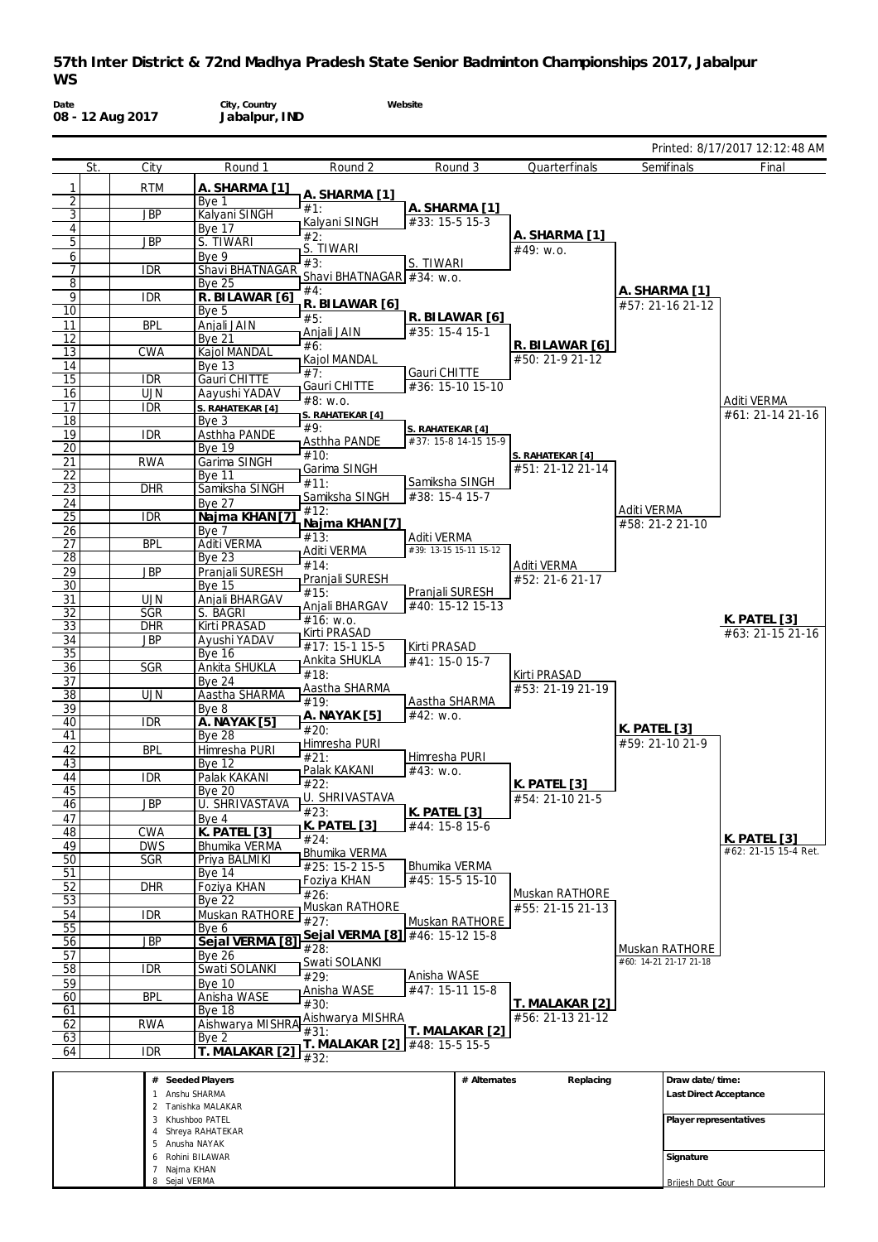

**Signature** Brijesh Dutt Gour

6 Rohini BILAWAR 7 Najma KHAN Sejal VERMA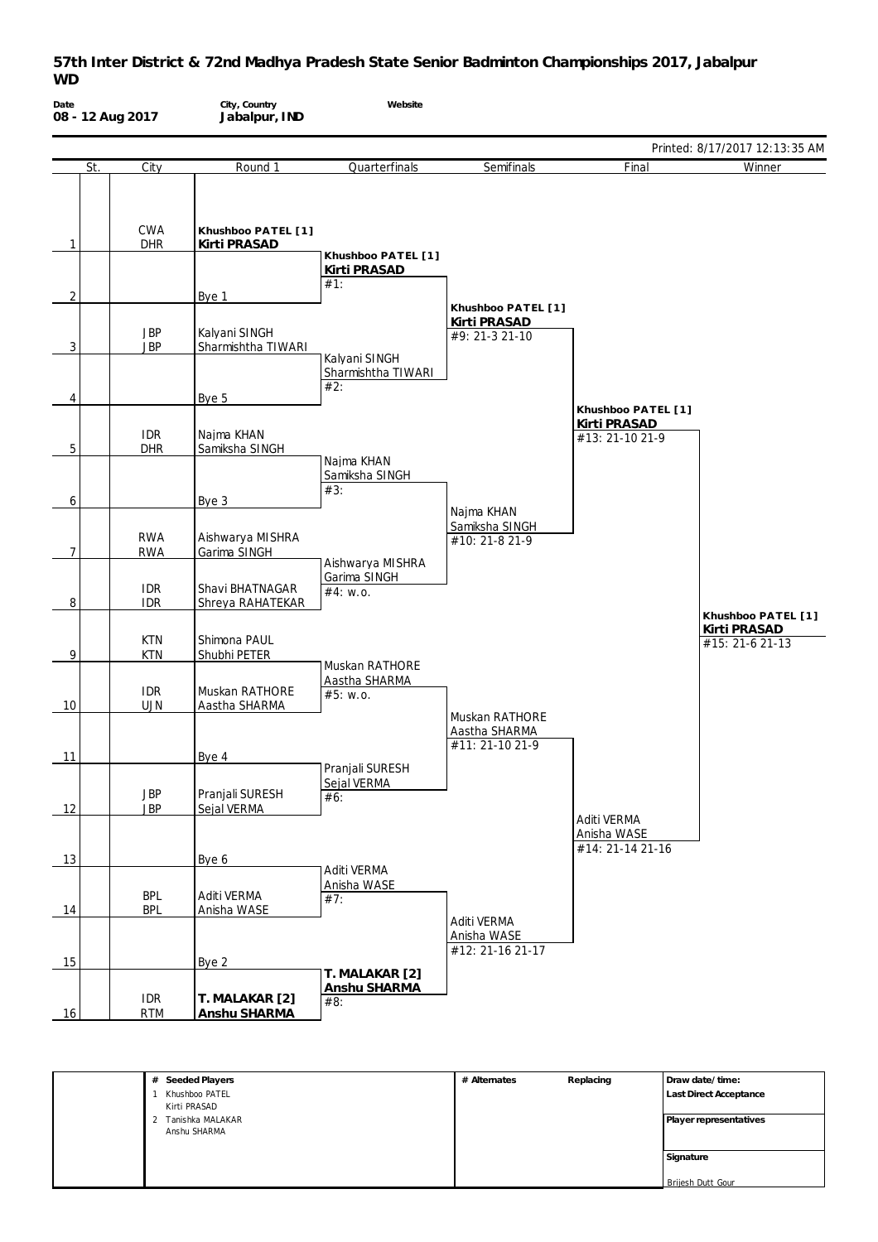| Date           |     | 08 - 12 Aug 2017         | City, Country<br>Jabalpur, IND      | Website                                      |                                                    |                                                |                                                       |
|----------------|-----|--------------------------|-------------------------------------|----------------------------------------------|----------------------------------------------------|------------------------------------------------|-------------------------------------------------------|
|                |     |                          |                                     |                                              |                                                    |                                                | Printed: 8/17/2017 12:13:35 AM                        |
|                | St. | City                     | Round 1                             | Quarterfinals                                | Semifinals                                         | Final                                          | Winner                                                |
| $\mathbf{1}$   |     | CWA<br><b>DHR</b>        | Khushboo PATEL [1]<br>Kirti PRASAD  |                                              |                                                    |                                                |                                                       |
|                |     |                          |                                     | Khushboo PATEL [1]<br>Kirti PRASAD           |                                                    |                                                |                                                       |
|                |     |                          |                                     | #1:                                          |                                                    |                                                |                                                       |
| $\overline{2}$ |     |                          | Bye 1                               |                                              | Khushboo PATEL [1]                                 |                                                |                                                       |
| 3              |     | <b>JBP</b><br><b>JBP</b> | Kalyani SINGH<br>Sharmishtha TIWARI | Kalyani SINGH                                | Kirti PRASAD<br>#9: 21-3 21-10                     |                                                |                                                       |
| 4              |     |                          | Bye 5                               | Sharmishtha TIWARI<br>#2:                    |                                                    | Khushboo PATEL [1]                             |                                                       |
|                |     | <b>IDR</b>               | Najma KHAN                          |                                              |                                                    | Kirti PRASAD<br>#13: 21-10 21-9                |                                                       |
| $5\,$          |     | <b>DHR</b>               | Samiksha SINGH                      | Najma KHAN<br>Samiksha SINGH                 |                                                    |                                                |                                                       |
| 6              |     |                          | Bye 3                               | #3:                                          |                                                    |                                                |                                                       |
| $\overline{7}$ |     | <b>RWA</b><br><b>RWA</b> | Aishwarya MISHRA<br>Garima SINGH    |                                              | Najma KHAN<br>Samiksha SINGH<br>#10: 21-8 21-9     |                                                |                                                       |
| 8              |     | <b>IDR</b><br><b>IDR</b> | Shavi BHATNAGAR<br>Shreya RAHATEKAR | Aishwarya MISHRA<br>Garima SINGH<br>#4: w.o. |                                                    |                                                |                                                       |
| 9              |     | <b>KTN</b><br><b>KTN</b> | Shimona PAUL<br>Shubhi PETER        |                                              |                                                    |                                                | Khushboo PATEL [1]<br>Kirti PRASAD<br>#15: 21-6 21-13 |
| 10             |     | <b>IDR</b><br><b>UJN</b> | Muskan RATHORE<br>Aastha SHARMA     | Muskan RATHORE<br>Aastha SHARMA<br>#5: W.0.  |                                                    |                                                |                                                       |
| 11             |     |                          | Bye 4                               |                                              | Muskan RATHORE<br>Aastha SHARMA<br>#11: 21-10 21-9 |                                                |                                                       |
| 12             |     | <b>JBP</b><br><b>JBP</b> | Pranjali SURESH<br>Sejal VERMA      | Pranjali SURESH<br>Sejal VERMA<br>#6:        |                                                    |                                                |                                                       |
| 13             |     |                          | Bye 6                               |                                              |                                                    | Aditi VERMA<br>Anisha WASE<br>#14: 21-14 21-16 |                                                       |
|                |     | <b>BPL</b>               | Aditi VERMA<br>Anisha WASE          | Aditi VERMA<br>Anisha WASE<br>#7:            |                                                    |                                                |                                                       |
| 14             |     | <b>BPL</b>               |                                     |                                              | Aditi VERMA<br>Anisha WASE<br>#12: 21-16 21-17     |                                                |                                                       |
| 15             |     |                          | Bye 2                               | T. MALAKAR [2]                               |                                                    |                                                |                                                       |
| 16             |     | <b>IDR</b><br><b>RTM</b> | T. MALAKAR [2]<br>Anshu SHARMA      | Anshu SHARMA<br>#8:                          |                                                    |                                                |                                                       |

| # Seeded Players      | # Alternates | Replacing | Draw date/time:        |
|-----------------------|--------------|-----------|------------------------|
| Khushboo PATEL        |              |           | Last Direct Acceptance |
| Kirti PRASAD          |              |           |                        |
| Tanishka MALAKAR<br>2 |              |           | Player representatives |
| Anshu SHARMA          |              |           |                        |
|                       |              |           |                        |
|                       |              |           | Signature              |
|                       |              |           |                        |
|                       |              |           | Brijesh Dutt Gour      |